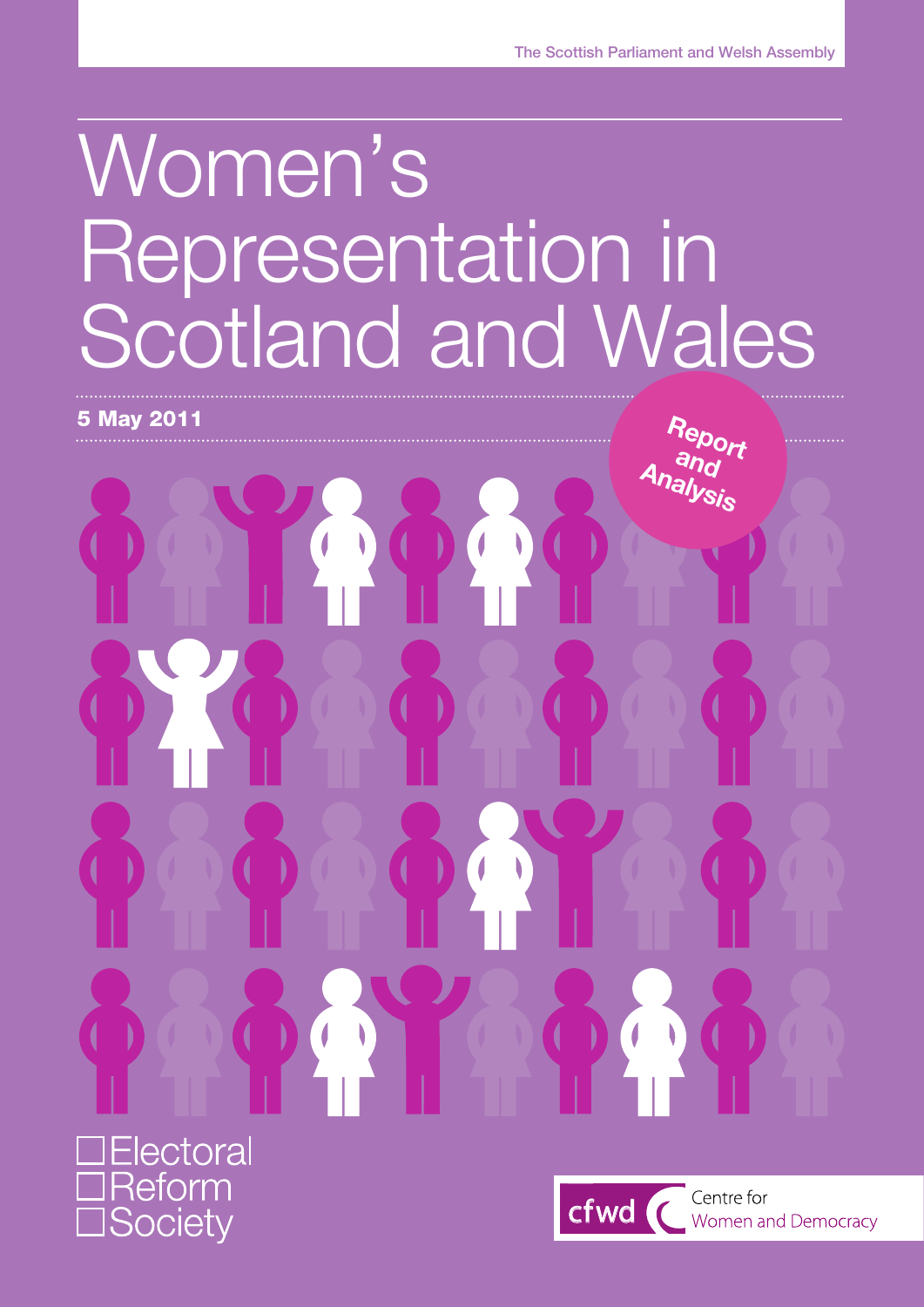# Women's Representation in Scotland and Wales



eform **Society** 

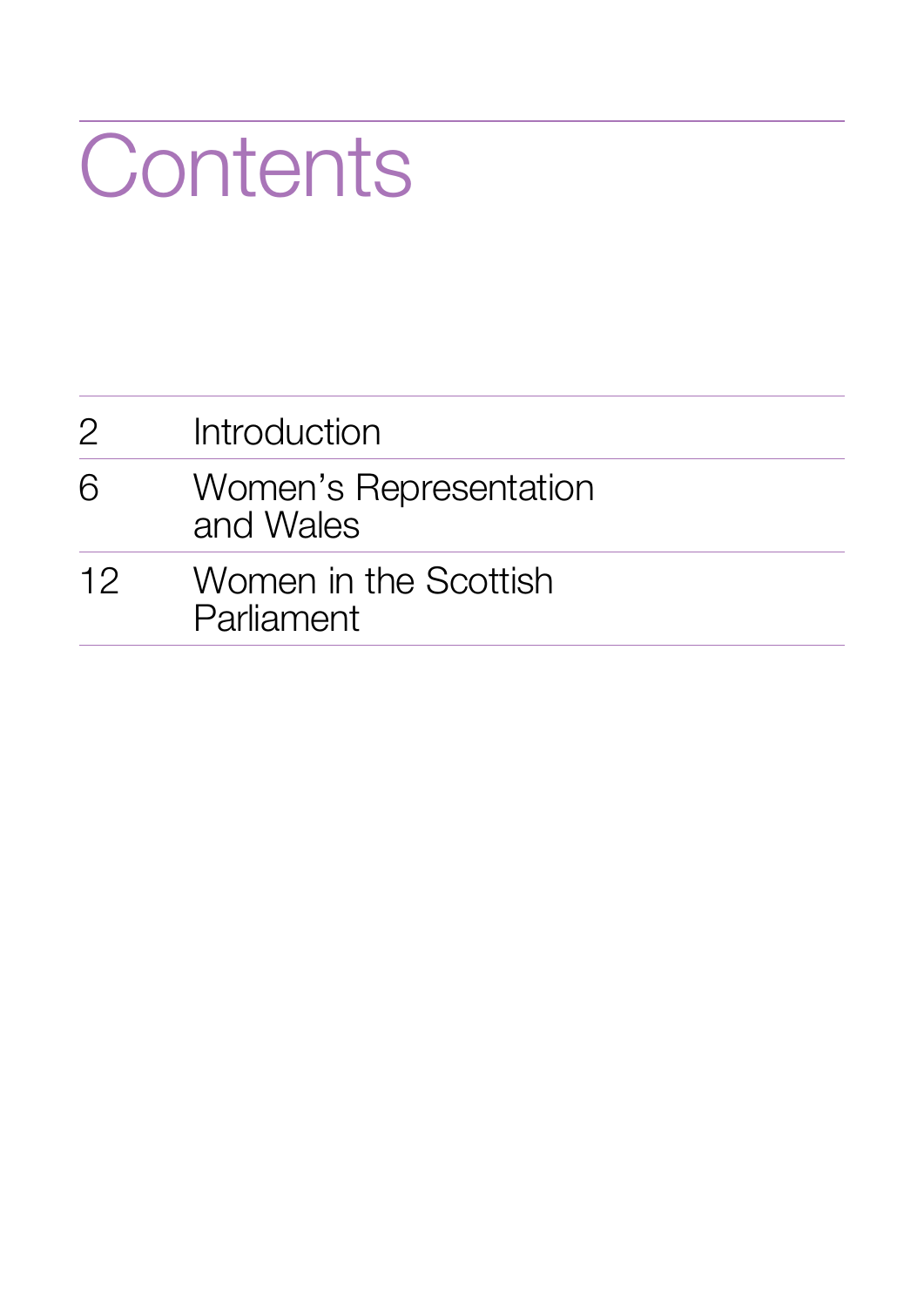# **Contents**

| $\mathcal{P}$ | Introduction                        |
|---------------|-------------------------------------|
| 6             | Women's Representation<br>and Wales |
| 12            | Women in the Scottish<br>Parliament |
|               |                                     |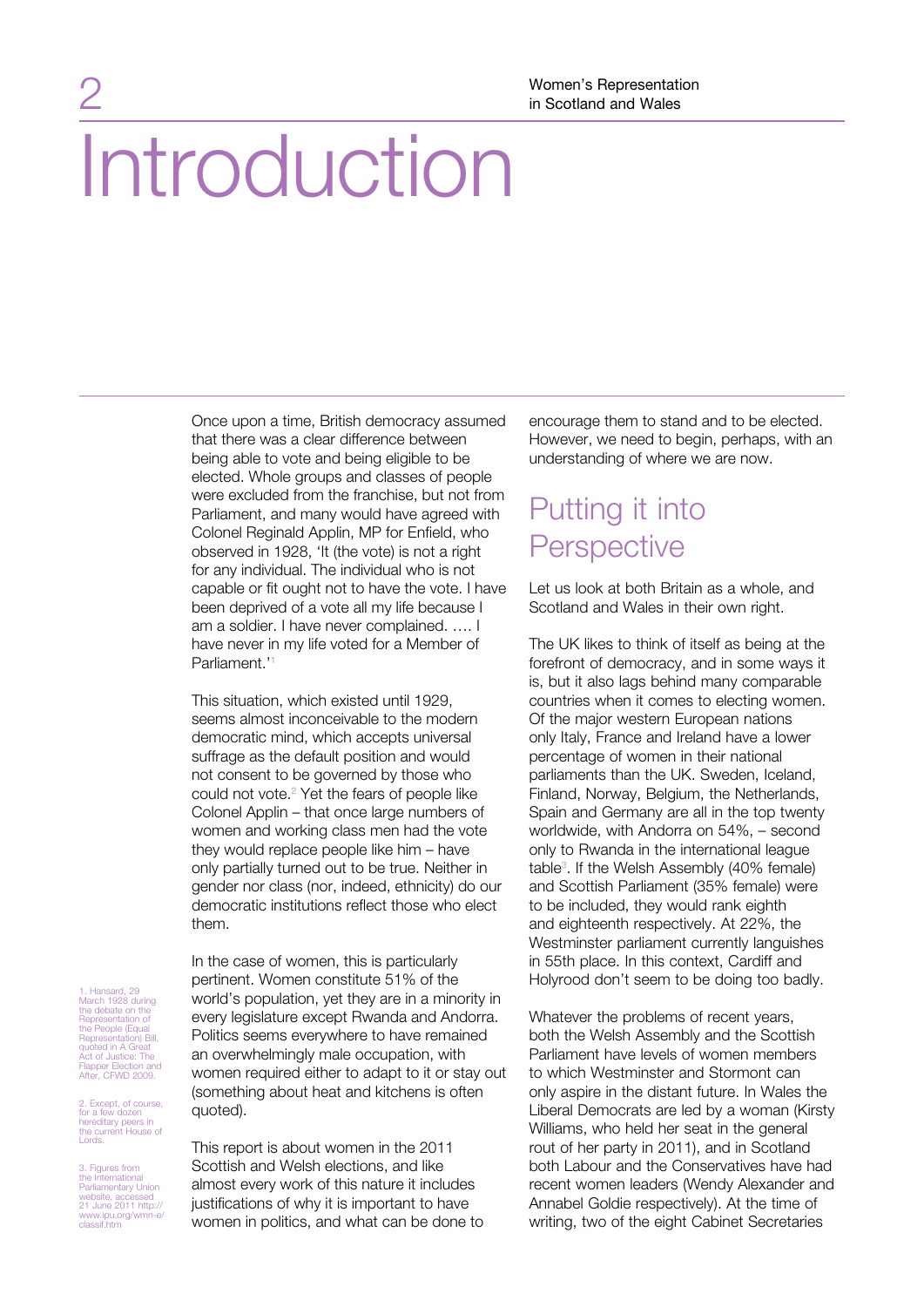Once upon a time, British democracy assumed that there was a clear difference between being able to vote and being eligible to be elected. Whole groups and classes of people were excluded from the franchise, but not from Parliament, and many would have agreed with Colonel Reginald Applin, MP for Enfield, who observed in 1928, 'It (the vote) is not a right for any individual. The individual who is not capable or fit ought not to have the vote. I have been deprived of a vote all my life because I am a soldier. I have never complained. …. I have never in my life voted for a Member of Parliament.'1

This situation, which existed until 1929, seems almost inconceivable to the modern democratic mind, which accepts universal suffrage as the default position and would not consent to be governed by those who could not vote.<sup>2</sup> Yet the fears of people like Colonel Applin – that once large numbers of women and working class men had the vote they would replace people like him – have only partially turned out to be true. Neither in gender nor class (nor, indeed, ethnicity) do our democratic institutions reflect those who elect them.

1. Hansard, 29 March 1928 during the debate on the Representation of the People (Equal Representation) Bill, quoted in A Great Act of Justice: The Flapper Election and After, CFWD 2009.

2. Except, of course, for a few dozen hereditary peers in the current House of Lords.

3. Figures from the International Parliamentary Union website, accessed 21 June 2011 http:// www.ipu.org/wmn-e/ classif.htm

pertinent. Women constitute 51% of the world's population, yet they are in a minority in every legislature except Rwanda and Andorra. Politics seems everywhere to have remained an overwhelmingly male occupation, with women required either to adapt to it or stay out (something about heat and kitchens is often quoted).

In the case of women, this is particularly

This report is about women in the 2011 Scottish and Welsh elections, and like almost every work of this nature it includes justifications of why it is important to have women in politics, and what can be done to encourage them to stand and to be elected. However, we need to begin, perhaps, with an understanding of where we are now.

## Putting it into **Perspective**

Let us look at both Britain as a whole, and Scotland and Wales in their own right.

The UK likes to think of itself as being at the forefront of democracy, and in some ways it is, but it also lags behind many comparable countries when it comes to electing women. Of the major western European nations only Italy, France and Ireland have a lower percentage of women in their national parliaments than the UK. Sweden, Iceland, Finland, Norway, Belgium, the Netherlands, Spain and Germany are all in the top twenty worldwide, with Andorra on 54%, – second only to Rwanda in the international league table<sup>3</sup>. If the Welsh Assembly (40% female) and Scottish Parliament (35% female) were to be included, they would rank eighth and eighteenth respectively. At 22%, the Westminster parliament currently languishes in 55th place. In this context, Cardiff and Holyrood don't seem to be doing too badly.

Whatever the problems of recent years, both the Welsh Assembly and the Scottish Parliament have levels of women members to which Westminster and Stormont can only aspire in the distant future. In Wales the Liberal Democrats are led by a woman (Kirsty Williams, who held her seat in the general rout of her party in 2011), and in Scotland both Labour and the Conservatives have had recent women leaders (Wendy Alexander and Annabel Goldie respectively). At the time of writing, two of the eight Cabinet Secretaries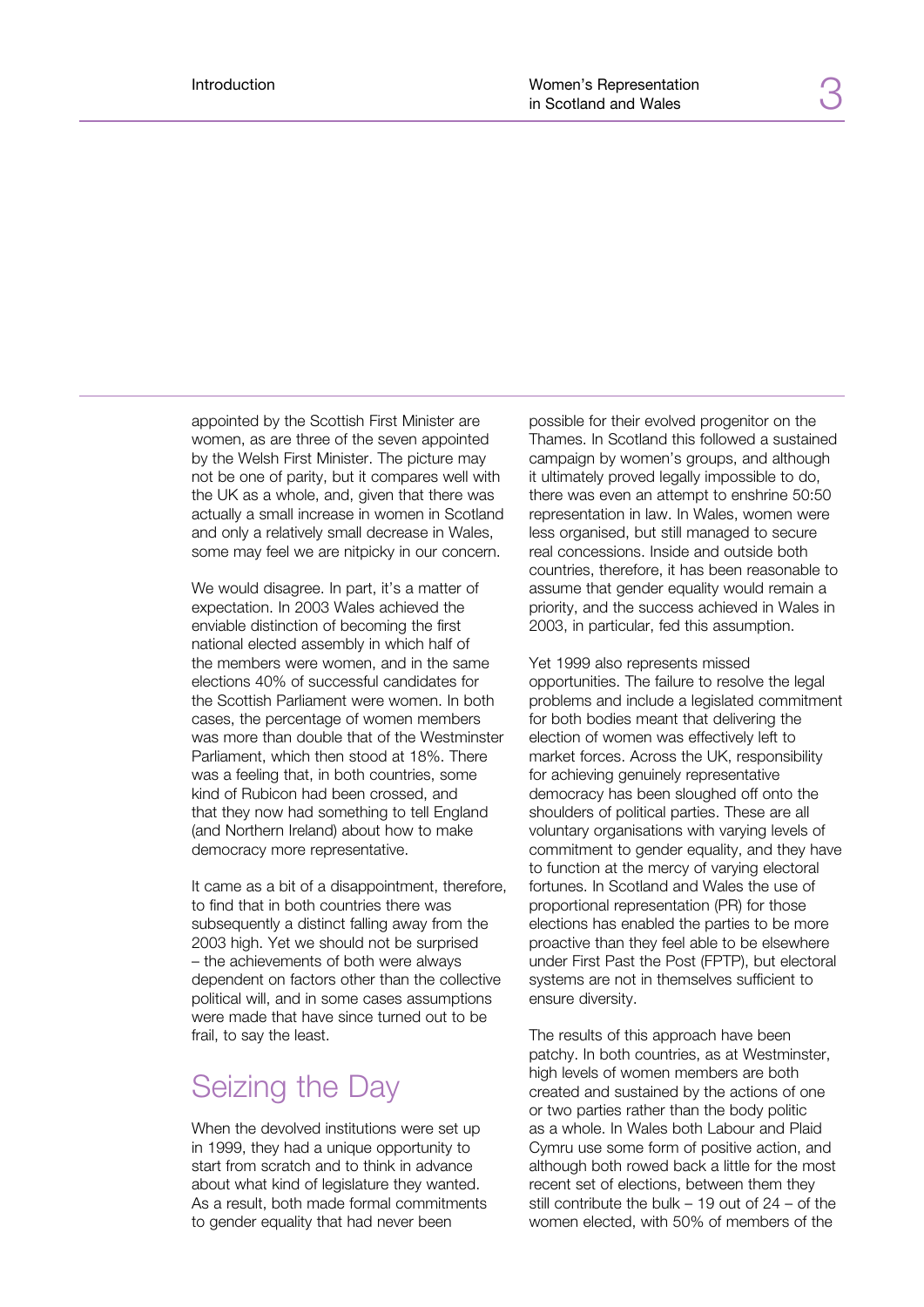appointed by the Scottish First Minister are women, as are three of the seven appointed by the Welsh First Minister. The picture may not be one of parity, but it compares well with the UK as a whole, and, given that there was actually a small increase in women in Scotland and only a relatively small decrease in Wales, some may feel we are nitpicky in our concern.

We would disagree. In part, it's a matter of expectation. In 2003 Wales achieved the enviable distinction of becoming the first national elected assembly in which half of the members were women, and in the same elections 40% of successful candidates for the Scottish Parliament were women. In both cases, the percentage of women members was more than double that of the Westminster Parliament, which then stood at 18%. There was a feeling that, in both countries, some kind of Rubicon had been crossed, and that they now had something to tell England (and Northern Ireland) about how to make democracy more representative.

It came as a bit of a disappointment, therefore, to find that in both countries there was subsequently a distinct falling away from the 2003 high. Yet we should not be surprised – the achievements of both were always dependent on factors other than the collective political will, and in some cases assumptions were made that have since turned out to be frail, to say the least.

#### Seizing the Day

When the devolved institutions were set up in 1999, they had a unique opportunity to start from scratch and to think in advance about what kind of legislature they wanted. As a result, both made formal commitments to gender equality that had never been

possible for their evolved progenitor on the Thames. In Scotland this followed a sustained campaign by women's groups, and although it ultimately proved legally impossible to do, there was even an attempt to enshrine 50:50 representation in law. In Wales, women were less organised, but still managed to secure real concessions. Inside and outside both countries, therefore, it has been reasonable to assume that gender equality would remain a priority, and the success achieved in Wales in 2003, in particular, fed this assumption.

Yet 1999 also represents missed opportunities. The failure to resolve the legal problems and include a legislated commitment for both bodies meant that delivering the election of women was effectively left to market forces. Across the UK, responsibility for achieving genuinely representative democracy has been sloughed off onto the shoulders of political parties. These are all voluntary organisations with varying levels of commitment to gender equality, and they have to function at the mercy of varying electoral fortunes. In Scotland and Wales the use of proportional representation (PR) for those elections has enabled the parties to be more proactive than they feel able to be elsewhere under First Past the Post (FPTP), but electoral systems are not in themselves sufficient to ensure diversity.

The results of this approach have been patchy. In both countries, as at Westminster, high levels of women members are both created and sustained by the actions of one or two parties rather than the body politic as a whole. In Wales both Labour and Plaid Cymru use some form of positive action, and although both rowed back a little for the most recent set of elections, between them they still contribute the bulk – 19 out of 24 – of the women elected, with 50% of members of the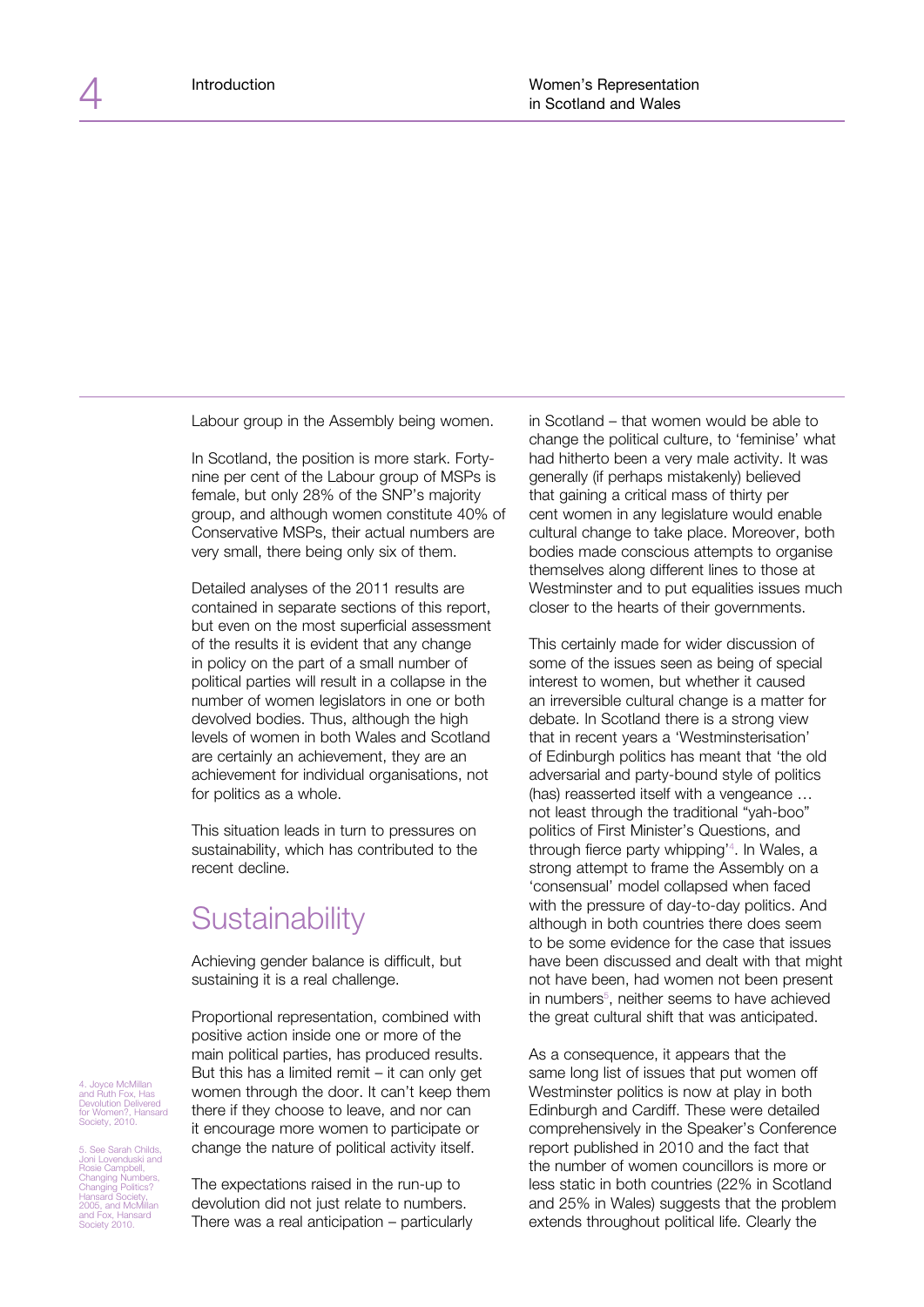Labour group in the Assembly being women.

In Scotland, the position is more stark. Fortynine per cent of the Labour group of MSPs is female, but only 28% of the SNP's majority group, and although women constitute 40% of Conservative MSPs, their actual numbers are very small, there being only six of them.

Detailed analyses of the 2011 results are contained in separate sections of this report, but even on the most superficial assessment of the results it is evident that any change in policy on the part of a small number of political parties will result in a collapse in the number of women legislators in one or both devolved bodies. Thus, although the high levels of women in both Wales and Scotland are certainly an achievement, they are an achievement for individual organisations, not for politics as a whole.

This situation leads in turn to pressures on sustainability, which has contributed to the recent decline.

## **Sustainability**

Achieving gender balance is difficult, but sustaining it is a real challenge.

Proportional representation, combined with positive action inside one or more of the main political parties, has produced results. But this has a limited remit  $-$  it can only get women through the door. It can't keep them there if they choose to leave, and nor can it encourage more women to participate or change the nature of political activity itself.

4. Joyce McMillan and Ruth Fox, Has Devolution Delivered for Women?, Hansard Society, 2010. See Sarah Childs

Joni Lovenduski and Rosie Campbell, Changing Numbers, Changing Politics? Hansard Society, 2005, and McMillan and Fox, Hansard Society 2010.

The expectations raised in the run-up to devolution did not just relate to numbers. There was a real anticipation – particularly in Scotland – that women would be able to change the political culture, to 'feminise' what had hitherto been a very male activity. It was generally (if perhaps mistakenly) believed that gaining a critical mass of thirty per cent women in any legislature would enable cultural change to take place. Moreover, both bodies made conscious attempts to organise themselves along different lines to those at Westminster and to put equalities issues much closer to the hearts of their governments.

This certainly made for wider discussion of some of the issues seen as being of special interest to women, but whether it caused an irreversible cultural change is a matter for debate. In Scotland there is a strong view that in recent years a 'Westminsterisation' of Edinburgh politics has meant that 'the old adversarial and party-bound style of politics (has) reasserted itself with a vengeance … not least through the traditional "yah-boo" politics of First Minister's Questions, and through fierce party whipping'4 . In Wales, a strong attempt to frame the Assembly on a 'consensual' model collapsed when faced with the pressure of day-to-day politics. And although in both countries there does seem to be some evidence for the case that issues have been discussed and dealt with that might not have been, had women not been present in numbers<sup>5</sup>, neither seems to have achieved the great cultural shift that was anticipated.

As a consequence, it appears that the same long list of issues that put women off Westminster politics is now at play in both Edinburgh and Cardiff. These were detailed comprehensively in the Speaker's Conference report published in 2010 and the fact that the number of women councillors is more or less static in both countries (22% in Scotland and 25% in Wales) suggests that the problem extends throughout political life. Clearly the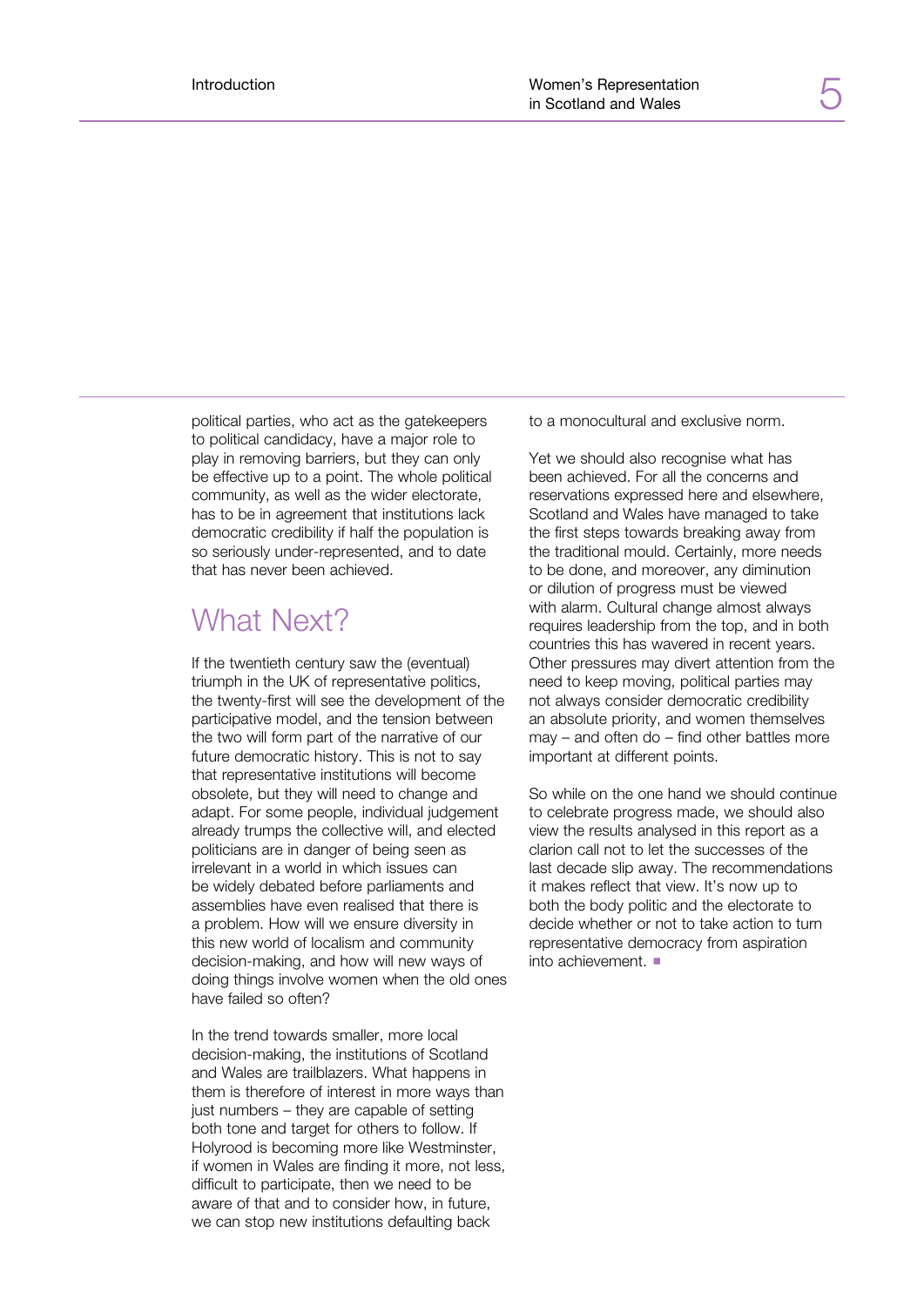political parties, who act as the gatekeepers to political candidacy, have a major role to play in removing barriers, but they can only be effective up to a point. The whole political community, as well as the wider electorate, has to be in agreement that institutions lack democratic credibility if half the population is so seriously under-represented, and to date that has never been achieved.

#### What Next?

If the twentieth century saw the (eventual) triumph in the UK of representative politics, the twenty-first will see the development of the participative model, and the tension between the two will form part of the narrative of our future democratic history. This is not to say that representative institutions will become obsolete, but they will need to change and adapt. For some people, individual judgement already trumps the collective will, and elected politicians are in danger of being seen as irrelevant in a world in which issues can be widely debated before parliaments and assemblies have even realised that there is a problem. How will we ensure diversity in this new world of localism and community decision-making, and how will new ways of doing things involve women when the old ones have failed so often?

In the trend towards smaller, more local decision-making, the institutions of Scotland and Wales are trailblazers. What happens in them is therefore of interest in more ways than just numbers – they are capable of setting both tone and target for others to follow. If Holyrood is becoming more like Westminster, if women in Wales are finding it more, not less, difficult to participate, then we need to be aware of that and to consider how, in future, we can stop new institutions defaulting back

to a monocultural and exclusive norm.

Yet we should also recognise what has been achieved. For all the concerns and reservations expressed here and elsewhere, Scotland and Wales have managed to take the first steps towards breaking away from the traditional mould. Certainly, more needs to be done, and moreover, any diminution or dilution of progress must be viewed with alarm. Cultural change almost always requires leadership from the top, and in both countries this has wavered in recent years. Other pressures may divert attention from the need to keep moving, political parties may not always consider democratic credibility an absolute priority, and women themselves may – and often do – find other battles more important at different points.

So while on the one hand we should continue to celebrate progress made, we should also view the results analysed in this report as a clarion call not to let the successes of the last decade slip away. The recommendations it makes reflect that view. It's now up to both the body politic and the electorate to decide whether or not to take action to turn representative democracy from aspiration into achievement.  $\blacksquare$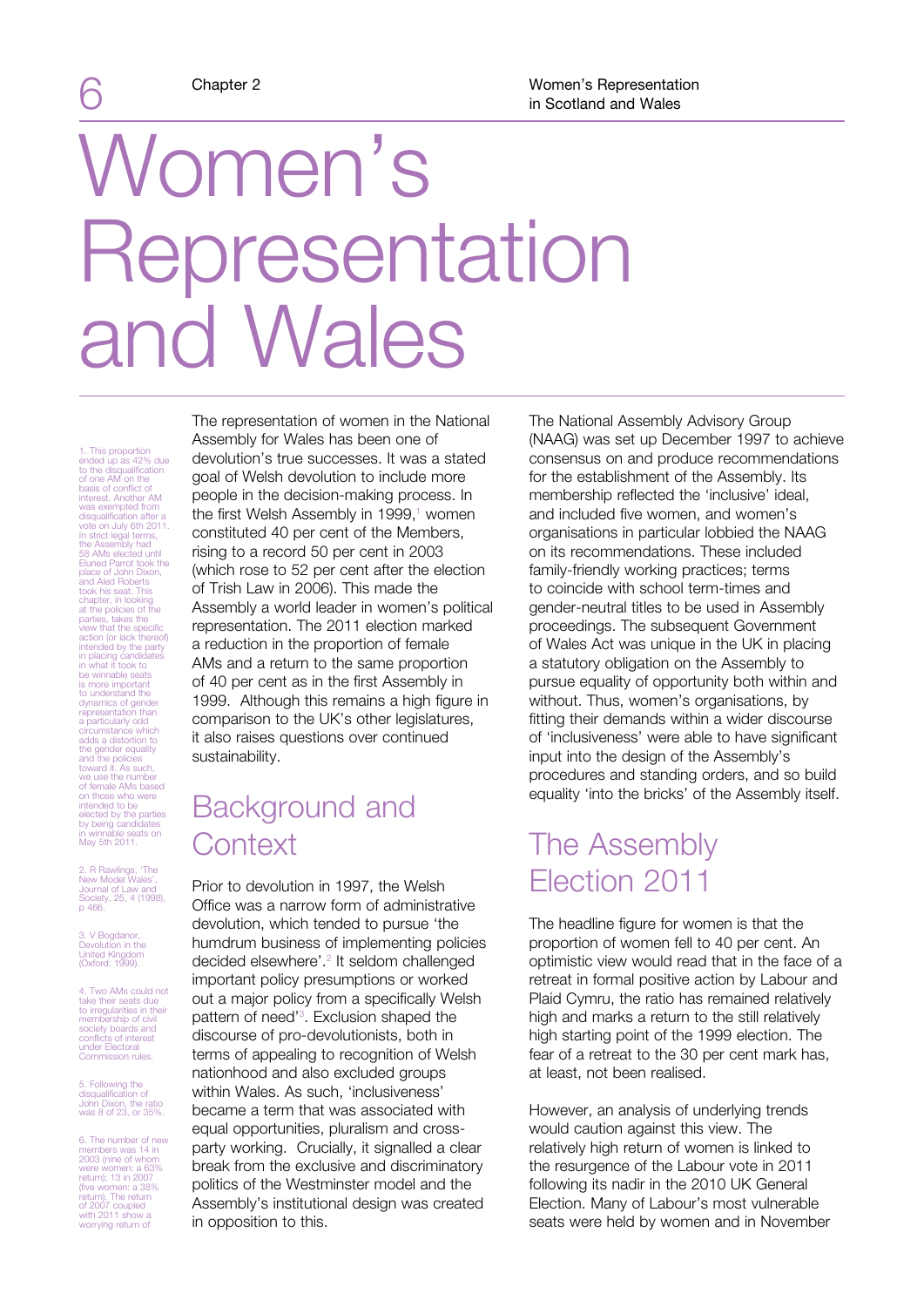## Women's Representation and Wales

1. This proportion ended up as 42% due to the disqualification of one AM on the basis of conflict of interest. Another AM was exempted from disqualification after a vote on July 6th 2011. In strict legal terms, the Assembly had 58 AMs elected until Eluned Parrot took the place of John Dixon, and Aled Roberts took his seat. This<br>chapter, in looking<br>at the policies of the<br>parties, takes the<br>view that the specific<br>action (or lack thereof)<br>intended by the party<br>in placing candidates<br>in what it took to<br>be winnable seats<br>is more imp dynamics of gender representation than a particularly odd circumstance which adds a distortion to the policies<br>
and the policies<br>
toward it. As such,<br>
we use the number<br>
of female AMs based<br>
on those who were<br>
elected by the parties<br>
by being candidates<br>
by being candidates<br>
in winnable seats on<br>
May 5th 2011.

2. R Rawlings, 'The New Model Wales', Journal of Law and Society, 25, 4 (1998), p 466.

3. V Bogdanor, Devolution in the United Kingdom (Oxford: 1999).

4. Two AMs could not take their seats due to irregularities in their membership of civil society boards and conflicts of interest under Electoral Commission rules.

5. Following the disqualification of John Dixon, the ratio was 8 of 23, or 35%.

6. The number of new members was 14 in 2003 (nine of whom were women: a 63% return); 13 in 2007 (five women: a 38% return). The return of 2007 coupled with 2011 show a worrying return of

The representation of women in the National Assembly for Wales has been one of devolution's true successes. It was a stated goal of Welsh devolution to include more people in the decision-making process. In the first Welsh Assembly in 1999,<sup>1</sup> women constituted 40 per cent of the Members, rising to a record 50 per cent in 2003 (which rose to 52 per cent after the election of Trish Law in 2006). This made the Assembly a world leader in women's political representation. The 2011 election marked a reduction in the proportion of female AMs and a return to the same proportion of 40 per cent as in the first Assembly in 1999. Although this remains a high figure in comparison to the UK's other legislatures, it also raises questions over continued sustainability.

### Background and **Context**

Prior to devolution in 1997, the Welsh Office was a narrow form of administrative devolution, which tended to pursue 'the humdrum business of implementing policies decided elsewhere'.<sup>2</sup> It seldom challenged important policy presumptions or worked out a major policy from a specifically Welsh pattern of need<sup>'3</sup>. Exclusion shaped the discourse of pro-devolutionists, both in terms of appealing to recognition of Welsh nationhood and also excluded groups within Wales. As such, 'inclusiveness' became a term that was associated with equal opportunities, pluralism and crossparty working. Crucially, it signalled a clear break from the exclusive and discriminatory politics of the Westminster model and the Assembly's institutional design was created in opposition to this.

The National Assembly Advisory Group (NAAG) was set up December 1997 to achieve consensus on and produce recommendations for the establishment of the Assembly. Its membership reflected the 'inclusive' ideal, and included five women, and women's organisations in particular lobbied the NAAG on its recommendations. These included family-friendly working practices; terms to coincide with school term-times and gender-neutral titles to be used in Assembly proceedings. The subsequent Government of Wales Act was unique in the UK in placing a statutory obligation on the Assembly to pursue equality of opportunity both within and without. Thus, women's organisations, by fitting their demands within a wider discourse of 'inclusiveness' were able to have significant input into the design of the Assembly's procedures and standing orders, and so build equality 'into the bricks' of the Assembly itself.

## The Assembly Election 2011

The headline figure for women is that the proportion of women fell to 40 per cent. An optimistic view would read that in the face of a retreat in formal positive action by Labour and Plaid Cymru, the ratio has remained relatively high and marks a return to the still relatively high starting point of the 1999 election. The fear of a retreat to the 30 per cent mark has, at least, not been realised.

However, an analysis of underlying trends would caution against this view. The relatively high return of women is linked to the resurgence of the Labour vote in 2011 following its nadir in the 2010 UK General Election. Many of Labour's most vulnerable seats were held by women and in November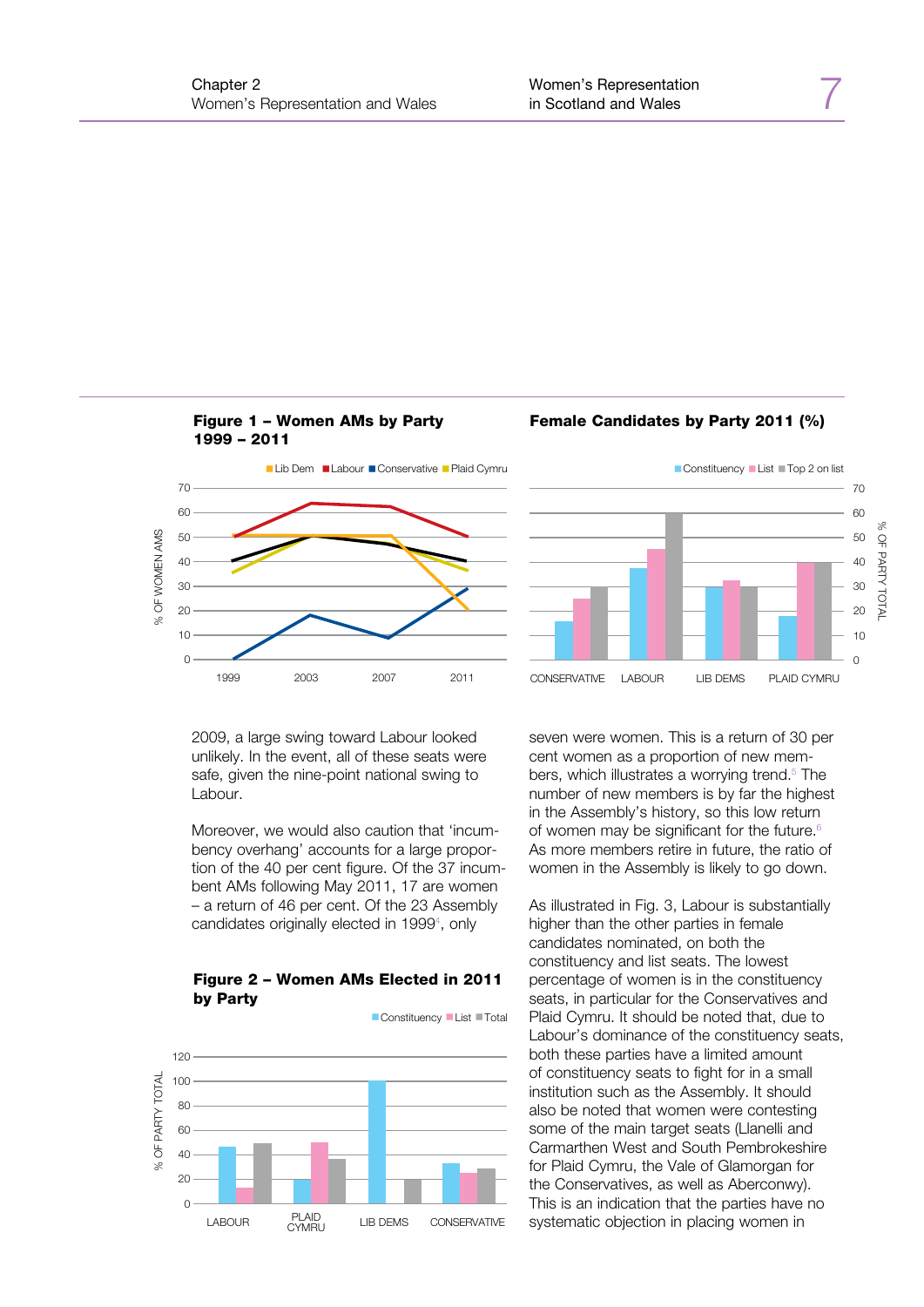







2009, a large swing toward Labour looked unlikely. In the event, all of these seats were safe, given the nine-point national swing to Labour.

Moreover, we would also caution that 'incumbency overhang' accounts for a large proportion of the 40 per cent figure. Of the 37 incumbent AMs following May 2011, 17 are women – a return of 46 per cent. Of the 23 Assembly candidates originally elected in 1999<sup>4</sup>, only



Figure 2 – Women AMs Elected in 2011 by Party

seven were women. This is a return of 30 per cent women as a proportion of new members, which illustrates a worrying trend.<sup>5</sup> The number of new members is by far the highest in the Assembly's history, so this low return of women may be significant for the future.<sup>6</sup> As more members retire in future, the ratio of women in the Assembly is likely to go down.

As illustrated in Fig. 3, Labour is substantially higher than the other parties in female candidates nominated, on both the constituency and list seats. The lowest percentage of women is in the constituency seats, in particular for the Conservatives and Plaid Cymru. It should be noted that, due to Labour's dominance of the constituency seats, both these parties have a limited amount of constituency seats to fight for in a small institution such as the Assembly. It should also be noted that women were contesting some of the main target seats (Llanelli and Carmarthen West and South Pembrokeshire for Plaid Cymru, the Vale of Glamorgan for the Conservatives, as well as Aberconwy). This is an indication that the parties have no systematic objection in placing women in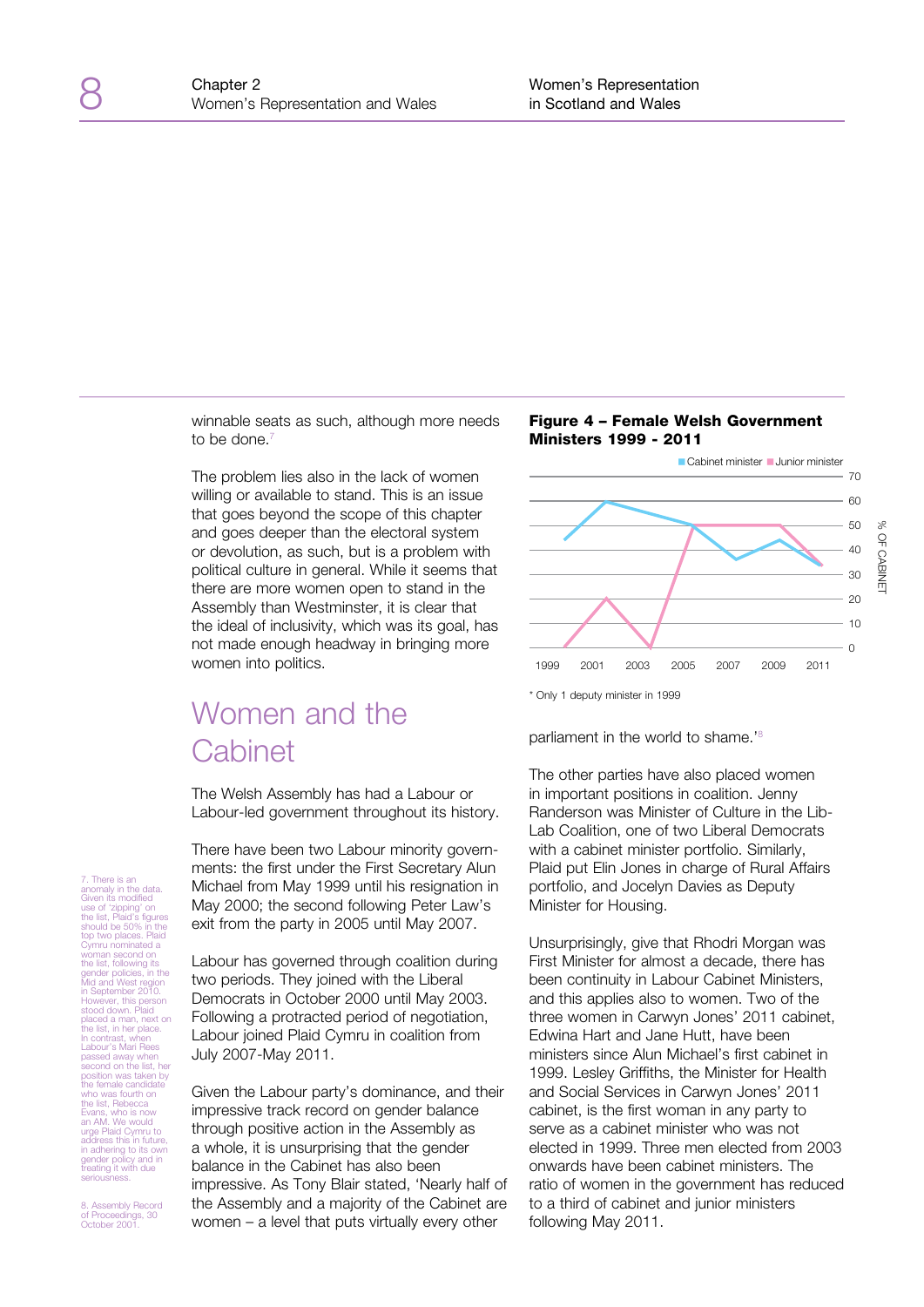winnable seats as such, although more needs to be done.<sup>7</sup>

The problem lies also in the lack of women willing or available to stand. This is an issue that goes beyond the scope of this chapter and goes deeper than the electoral system or devolution, as such, but is a problem with political culture in general. While it seems that there are more women open to stand in the Assembly than Westminster, it is clear that the ideal of inclusivity, which was its goal, has not made enough headway in bringing more women into politics.

## Women and the **Cabinet**

The Welsh Assembly has had a Labour or Labour-led government throughout its history.

There have been two Labour minority governments: the first under the First Secretary Alun Michael from May 1999 until his resignation in May 2000; the second following Peter Law's exit from the party in 2005 until May 2007.

Labour has governed through coalition during two periods. They joined with the Liberal Democrats in October 2000 until May 2003. Following a protracted period of negotiation, Labour joined Plaid Cymru in coalition from July 2007-May 2011.

Given the Labour party's dominance, and their impressive track record on gender balance through positive action in the Assembly as a whole, it is unsurprising that the gender balance in the Cabinet has also been impressive. As Tony Blair stated, 'Nearly half of the Assembly and a majority of the Cabinet are women – a level that puts virtually every other





parliament in the world to shame.<sup>'8</sup>

The other parties have also placed women in important positions in coalition. Jenny Randerson was Minister of Culture in the Lib-Lab Coalition, one of two Liberal Democrats with a cabinet minister portfolio. Similarly, Plaid put Elin Jones in charge of Rural Affairs portfolio, and Jocelyn Davies as Deputy Minister for Housing.

Unsurprisingly, give that Rhodri Morgan was First Minister for almost a decade, there has been continuity in Labour Cabinet Ministers, and this applies also to women. Two of the three women in Carwyn Jones' 2011 cabinet, Edwina Hart and Jane Hutt, have been ministers since Alun Michael's first cabinet in 1999. Lesley Griffiths, the Minister for Health and Social Services in Carwyn Jones' 2011 cabinet, is the first woman in any party to serve as a cabinet minister who was not elected in 1999. Three men elected from 2003 onwards have been cabinet ministers. The ratio of women in the government has reduced to a third of cabinet and junior ministers following May 2011.

There is an anomaly in the data. Given its modified use of 'zipping' on the list, Plaid's figures should be 50% in the top two places. Plaid Cymru nominated a woman second on<br>gender policies, in the<br>Mid and West region<br>in September 2010.<br>However, this person<br>stood down. Plaid<br>placed a man, next on<br>placed a man, next on<br>the list, in her place. In contrast, when Labour's Mari Rees passed away when second on the list, her position was taken by the female candidate who was fourth on the list, Rebecca Evans, who is now an AM. We would urge Plaid Cymru to address this in future, in adhering to its own gender policy and in treating it with due seriousness.

8. Assembly Record of Proceedings, 30 October 2001.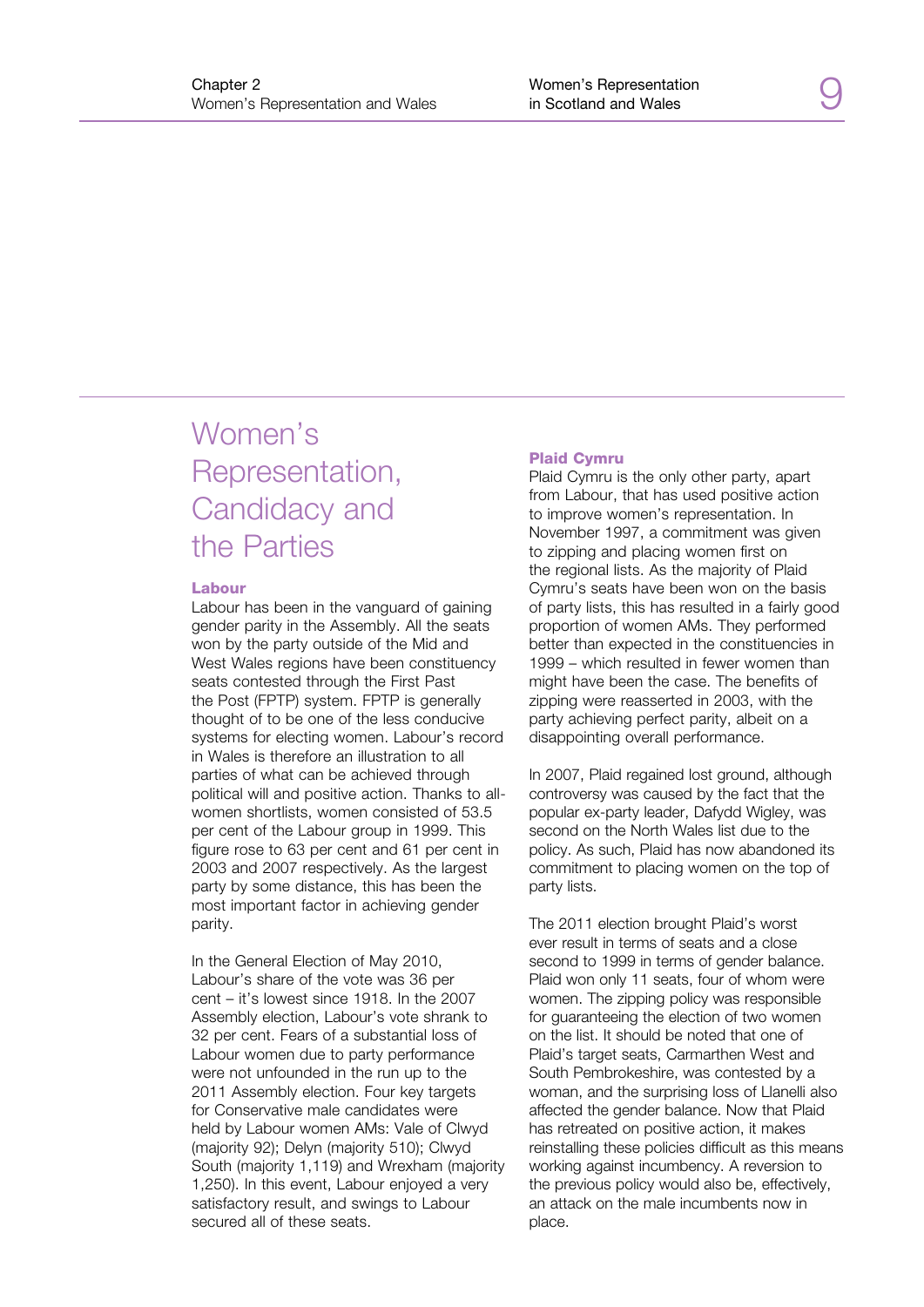## Women's Representation, Candidacy and the Parties

#### Labour

Labour has been in the vanguard of gaining gender parity in the Assembly. All the seats won by the party outside of the Mid and West Wales regions have been constituency seats contested through the First Past the Post (FPTP) system. FPTP is generally thought of to be one of the less conducive systems for electing women. Labour's record in Wales is therefore an illustration to all parties of what can be achieved through political will and positive action. Thanks to allwomen shortlists, women consisted of 53.5 per cent of the Labour group in 1999. This figure rose to 63 per cent and 61 per cent in 2003 and 2007 respectively. As the largest party by some distance, this has been the most important factor in achieving gender parity.

In the General Election of May 2010, Labour's share of the vote was 36 per cent – it's lowest since 1918. In the 2007 Assembly election, Labour's vote shrank to 32 per cent. Fears of a substantial loss of Labour women due to party performance were not unfounded in the run up to the 2011 Assembly election. Four key targets for Conservative male candidates were held by Labour women AMs: Vale of Clwyd (majority 92); Delyn (majority 510); Clwyd South (majority 1,119) and Wrexham (majority 1,250). In this event, Labour enjoyed a very satisfactory result, and swings to Labour secured all of these seats.

#### Plaid Cymru

Plaid Cymru is the only other party, apart from Labour, that has used positive action to improve women's representation. In November 1997, a commitment was given to zipping and placing women first on the regional lists. As the majority of Plaid Cymru's seats have been won on the basis of party lists, this has resulted in a fairly good proportion of women AMs. They performed better than expected in the constituencies in 1999 – which resulted in fewer women than might have been the case. The benefits of zipping were reasserted in 2003, with the party achieving perfect parity, albeit on a disappointing overall performance.

In 2007, Plaid regained lost ground, although controversy was caused by the fact that the popular ex-party leader, Dafydd Wigley, was second on the North Wales list due to the policy. As such, Plaid has now abandoned its commitment to placing women on the top of party lists.

The 2011 election brought Plaid's worst ever result in terms of seats and a close second to 1999 in terms of gender balance. Plaid won only 11 seats, four of whom were women. The zipping policy was responsible for guaranteeing the election of two women on the list. It should be noted that one of Plaid's target seats, Carmarthen West and South Pembrokeshire, was contested by a woman, and the surprising loss of Llanelli also affected the gender balance. Now that Plaid has retreated on positive action, it makes reinstalling these policies difficult as this means working against incumbency. A reversion to the previous policy would also be, effectively, an attack on the male incumbents now in place.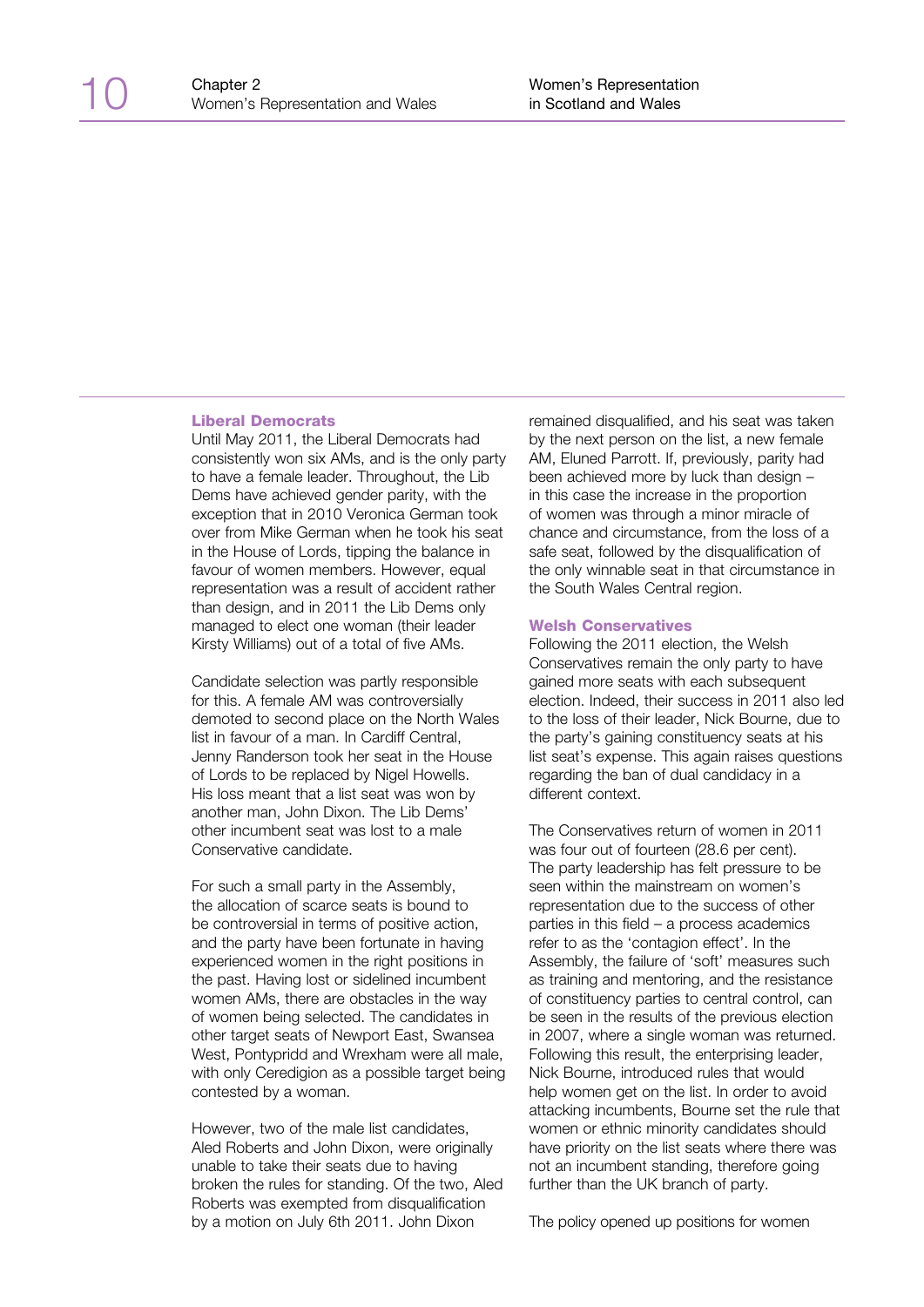#### Liberal Democrats

Until May 2011, the Liberal Democrats had consistently won six AMs, and is the only party to have a female leader. Throughout, the Lib Dems have achieved gender parity, with the exception that in 2010 Veronica German took over from Mike German when he took his seat in the House of Lords, tipping the balance in favour of women members. However, equal representation was a result of accident rather than design, and in 2011 the Lib Dems only managed to elect one woman (their leader Kirsty Williams) out of a total of five AMs.

Candidate selection was partly responsible for this. A female AM was controversially demoted to second place on the North Wales list in favour of a man. In Cardiff Central, Jenny Randerson took her seat in the House of Lords to be replaced by Nigel Howells. His loss meant that a list seat was won by another man, John Dixon. The Lib Dems' other incumbent seat was lost to a male Conservative candidate.

For such a small party in the Assembly, the allocation of scarce seats is bound to be controversial in terms of positive action, and the party have been fortunate in having experienced women in the right positions in the past. Having lost or sidelined incumbent women AMs, there are obstacles in the way of women being selected. The candidates in other target seats of Newport East, Swansea West, Pontypridd and Wrexham were all male, with only Ceredigion as a possible target being contested by a woman.

However, two of the male list candidates, Aled Roberts and John Dixon, were originally unable to take their seats due to having broken the rules for standing. Of the two, Aled Roberts was exempted from disqualification by a motion on July 6th 2011. John Dixon

remained disqualified, and his seat was taken by the next person on the list, a new female AM, Eluned Parrott. If, previously, parity had been achieved more by luck than design – in this case the increase in the proportion of women was through a minor miracle of chance and circumstance, from the loss of a safe seat, followed by the disqualification of the only winnable seat in that circumstance in the South Wales Central region.

#### Welsh Conservatives

Following the 2011 election, the Welsh Conservatives remain the only party to have gained more seats with each subsequent election. Indeed, their success in 2011 also led to the loss of their leader, Nick Bourne, due to the party's gaining constituency seats at his list seat's expense. This again raises questions regarding the ban of dual candidacy in a different context.

The Conservatives return of women in 2011 was four out of fourteen (28.6 per cent). The party leadership has felt pressure to be seen within the mainstream on women's representation due to the success of other parties in this field – a process academics refer to as the 'contagion effect'. In the Assembly, the failure of 'soft' measures such as training and mentoring, and the resistance of constituency parties to central control, can be seen in the results of the previous election in 2007, where a single woman was returned. Following this result, the enterprising leader, Nick Bourne, introduced rules that would help women get on the list. In order to avoid attacking incumbents, Bourne set the rule that women or ethnic minority candidates should have priority on the list seats where there was not an incumbent standing, therefore going further than the UK branch of party.

The policy opened up positions for women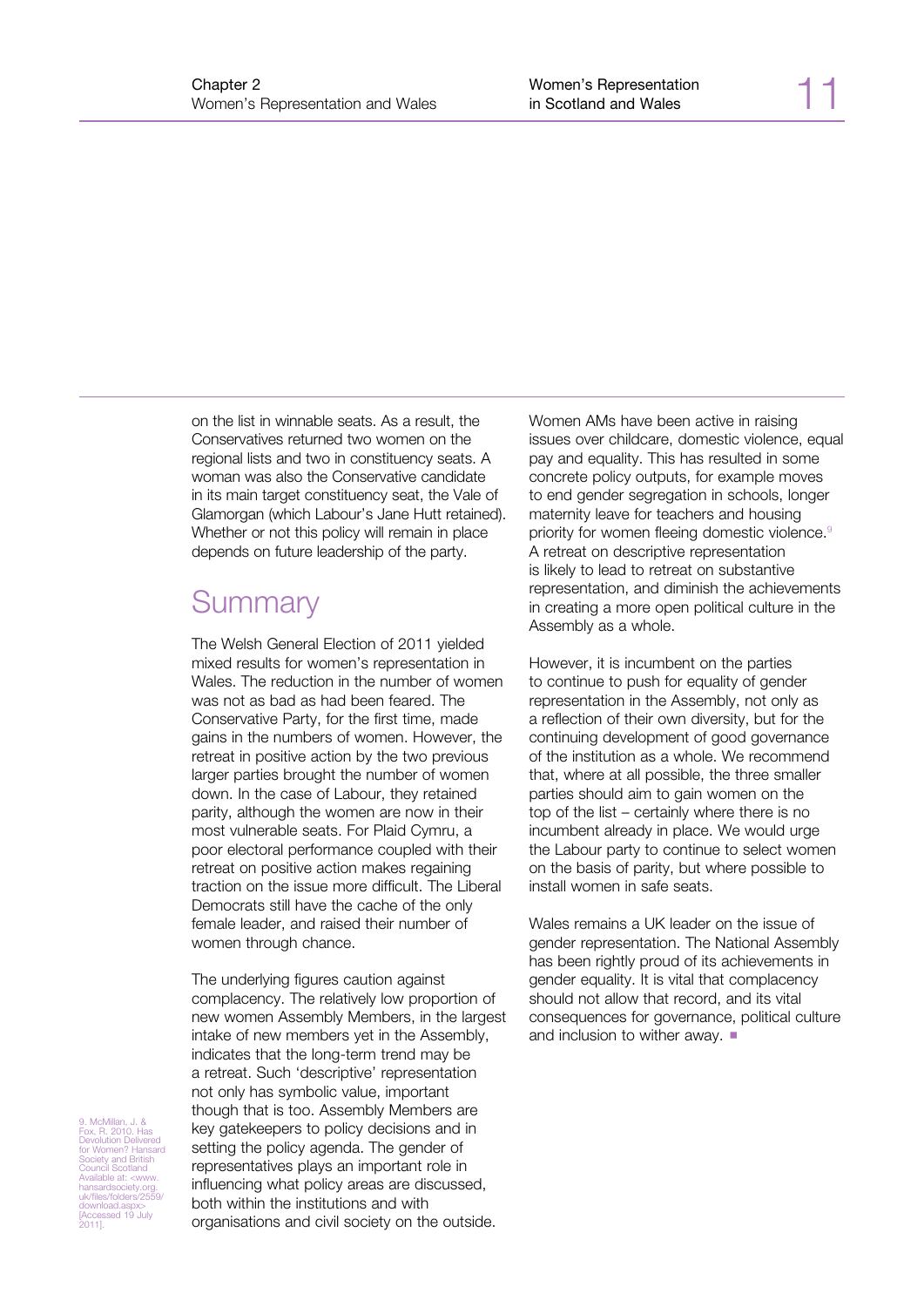on the list in winnable seats. As a result, the Conservatives returned two women on the regional lists and two in constituency seats. A woman was also the Conservative candidate in its main target constituency seat, the Vale of Glamorgan (which Labour's Jane Hutt retained). Whether or not this policy will remain in place depends on future leadership of the party.

## **Summary**

The Welsh General Election of 2011 yielded mixed results for women's representation in Wales. The reduction in the number of women was not as bad as had been feared. The Conservative Party, for the first time, made gains in the numbers of women. However, the retreat in positive action by the two previous larger parties brought the number of women down. In the case of Labour, they retained parity, although the women are now in their most vulnerable seats. For Plaid Cymru, a poor electoral performance coupled with their retreat on positive action makes regaining traction on the issue more difficult. The Liberal Democrats still have the cache of the only female leader, and raised their number of women through chance.

The underlying figures caution against complacency. The relatively low proportion of new women Assembly Members, in the largest intake of new members yet in the Assembly, indicates that the long-term trend may be a retreat. Such 'descriptive' representation not only has symbolic value, important though that is too. Assembly Members are key gatekeepers to policy decisions and in setting the policy agenda. The gender of representatives plays an important role in influencing what policy areas are discussed, both within the institutions and with organisations and civil society on the outside.

Women AMs have been active in raising issues over childcare, domestic violence, equal pay and equality. This has resulted in some concrete policy outputs, for example moves to end gender segregation in schools, longer maternity leave for teachers and housing priority for women fleeing domestic violence.<sup>9</sup> A retreat on descriptive representation is likely to lead to retreat on substantive representation, and diminish the achievements in creating a more open political culture in the Assembly as a whole.

However, it is incumbent on the parties to continue to push for equality of gender representation in the Assembly, not only as a reflection of their own diversity, but for the continuing development of good governance of the institution as a whole. We recommend that, where at all possible, the three smaller parties should aim to gain women on the top of the list – certainly where there is no incumbent already in place. We would urge the Labour party to continue to select women on the basis of parity, but where possible to install women in safe seats.

Wales remains a UK leader on the issue of gender representation. The National Assembly has been rightly proud of its achievements in gender equality. It is vital that complacency should not allow that record, and its vital consequences for governance, political culture and inclusion to wither away.  $\blacksquare$ 

9. McMillan, J. & Fox, R. 2010. Has Devolution Delivered for Women? Hansard Society and British Council Scotland Available at: <www. hansardsociety.org. uk/files/folders/2559/ download.aspx> [Accessed 19 July 2011].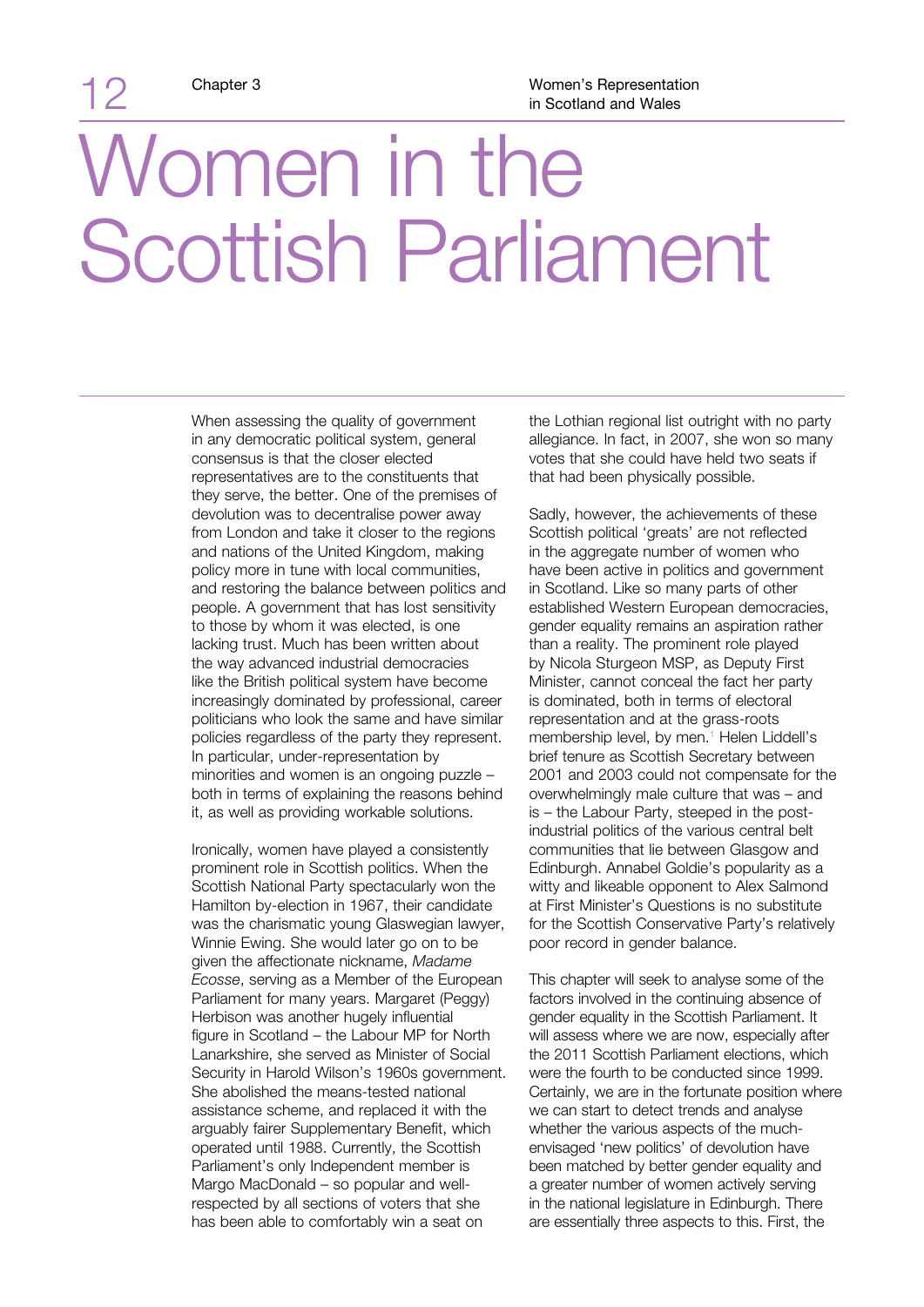12

## Women in the Scottish Parliament

When assessing the quality of government in any democratic political system, general consensus is that the closer elected representatives are to the constituents that they serve, the better. One of the premises of devolution was to decentralise power away from London and take it closer to the regions and nations of the United Kingdom, making policy more in tune with local communities, and restoring the balance between politics and people. A government that has lost sensitivity to those by whom it was elected, is one lacking trust. Much has been written about the way advanced industrial democracies like the British political system have become increasingly dominated by professional, career politicians who look the same and have similar policies regardless of the party they represent. In particular, under-representation by minorities and women is an ongoing puzzle – both in terms of explaining the reasons behind it, as well as providing workable solutions.

Ironically, women have played a consistently prominent role in Scottish politics. When the Scottish National Party spectacularly won the Hamilton by-election in 1967, their candidate was the charismatic young Glaswegian lawyer, Winnie Ewing. She would later go on to be given the affectionate nickname, *Madame Ecosse*, serving as a Member of the European Parliament for many years. Margaret (Peggy) Herbison was another hugely influential figure in Scotland – the Labour MP for North Lanarkshire, she served as Minister of Social Security in Harold Wilson's 1960s government. She abolished the means-tested national assistance scheme, and replaced it with the arguably fairer Supplementary Benefit, which operated until 1988. Currently, the Scottish Parliament's only Independent member is Margo MacDonald – so popular and wellrespected by all sections of voters that she has been able to comfortably win a seat on

the Lothian regional list outright with no party allegiance. In fact, in 2007, she won so many votes that she could have held two seats if that had been physically possible.

Sadly, however, the achievements of these Scottish political 'greats' are not reflected in the aggregate number of women who have been active in politics and government in Scotland. Like so many parts of other established Western European democracies, gender equality remains an aspiration rather than a reality. The prominent role played by Nicola Sturgeon MSP, as Deputy First Minister, cannot conceal the fact her party is dominated, both in terms of electoral representation and at the grass-roots membership level, by men.<sup>1</sup> Helen Liddell's brief tenure as Scottish Secretary between 2001 and 2003 could not compensate for the overwhelmingly male culture that was – and is – the Labour Party, steeped in the postindustrial politics of the various central belt communities that lie between Glasgow and Edinburgh. Annabel Goldie's popularity as a witty and likeable opponent to Alex Salmond at First Minister's Questions is no substitute for the Scottish Conservative Party's relatively poor record in gender balance.

This chapter will seek to analyse some of the factors involved in the continuing absence of gender equality in the Scottish Parliament. It will assess where we are now, especially after the 2011 Scottish Parliament elections, which were the fourth to be conducted since 1999. Certainly, we are in the fortunate position where we can start to detect trends and analyse whether the various aspects of the muchenvisaged 'new politics' of devolution have been matched by better gender equality and a greater number of women actively serving in the national legislature in Edinburgh. There are essentially three aspects to this. First, the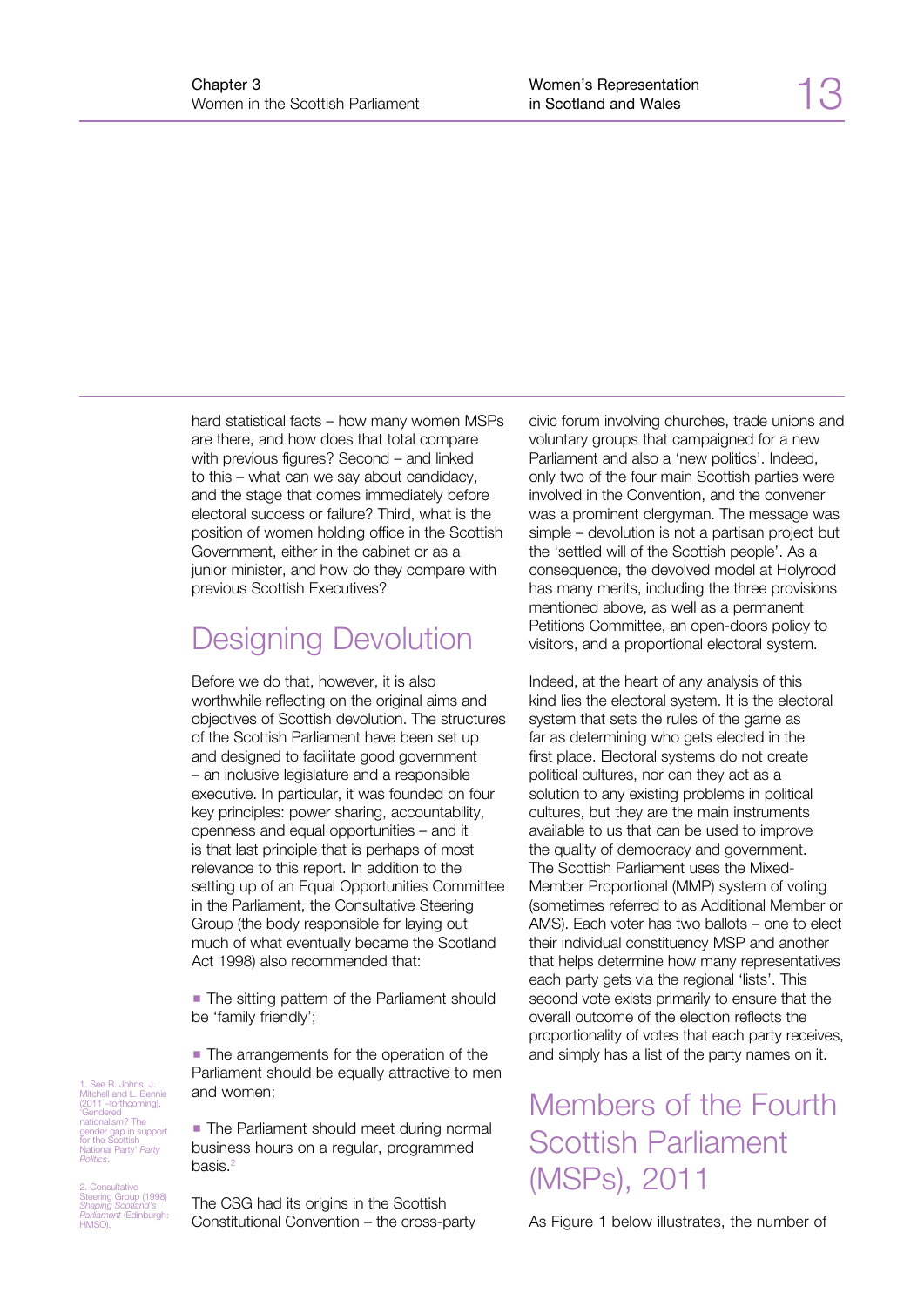hard statistical facts – how many women MSPs are there, and how does that total compare with previous figures? Second – and linked to this – what can we say about candidacy, and the stage that comes immediately before electoral success or failure? Third, what is the position of women holding office in the Scottish Government, either in the cabinet or as a junior minister, and how do they compare with previous Scottish Executives?

### Designing Devolution

Before we do that, however, it is also worthwhile reflecting on the original aims and objectives of Scottish devolution. The structures of the Scottish Parliament have been set up and designed to facilitate good government – an inclusive legislature and a responsible executive. In particular, it was founded on four key principles: power sharing, accountability, openness and equal opportunities – and it is that last principle that is perhaps of most relevance to this report. In addition to the setting up of an Equal Opportunities Committee in the Parliament, the Consultative Steering Group (the body responsible for laying out much of what eventually became the Scotland Act 1998) also recommended that:

• The sitting pattern of the Parliament should be 'family friendly';

• The arrangements for the operation of the Parliament should be equally attractive to men and women;

**• The Parliament should meet during normal** business hours on a regular, programmed basis.<sup>2</sup>

The CSG had its origins in the Scottish Constitutional Convention – the cross-party civic forum involving churches, trade unions and voluntary groups that campaigned for a new Parliament and also a 'new politics'. Indeed, only two of the four main Scottish parties were involved in the Convention, and the convener was a prominent clergyman. The message was simple – devolution is not a partisan project but the 'settled will of the Scottish people'. As a consequence, the devolved model at Holyrood has many merits, including the three provisions mentioned above, as well as a permanent Petitions Committee, an open-doors policy to visitors, and a proportional electoral system.

Indeed, at the heart of any analysis of this kind lies the electoral system. It is the electoral system that sets the rules of the game as far as determining who gets elected in the first place. Electoral systems do not create political cultures, nor can they act as a solution to any existing problems in political cultures, but they are the main instruments available to us that can be used to improve the quality of democracy and government. The Scottish Parliament uses the Mixed-Member Proportional (MMP) system of voting (sometimes referred to as Additional Member or AMS). Each voter has two ballots – one to elect their individual constituency MSP and another that helps determine how many representatives each party gets via the regional 'lists'. This second vote exists primarily to ensure that the overall outcome of the election reflects the proportionality of votes that each party receives, and simply has a list of the party names on it.

## Members of the Fourth Scottish Parliament (MSPs), 2011

As Figure 1 below illustrates, the number of

1. See R. Johns, J. Mitchell and L. Bennie (2011 –forthcoming), 'Gendered nationalism? The gender gap in support for the Scottish National Party' *Party Politics*.

2. Consultative Steering Group (1998) *Shaping Scotland's Parliament* (Edinburgh: HMSO).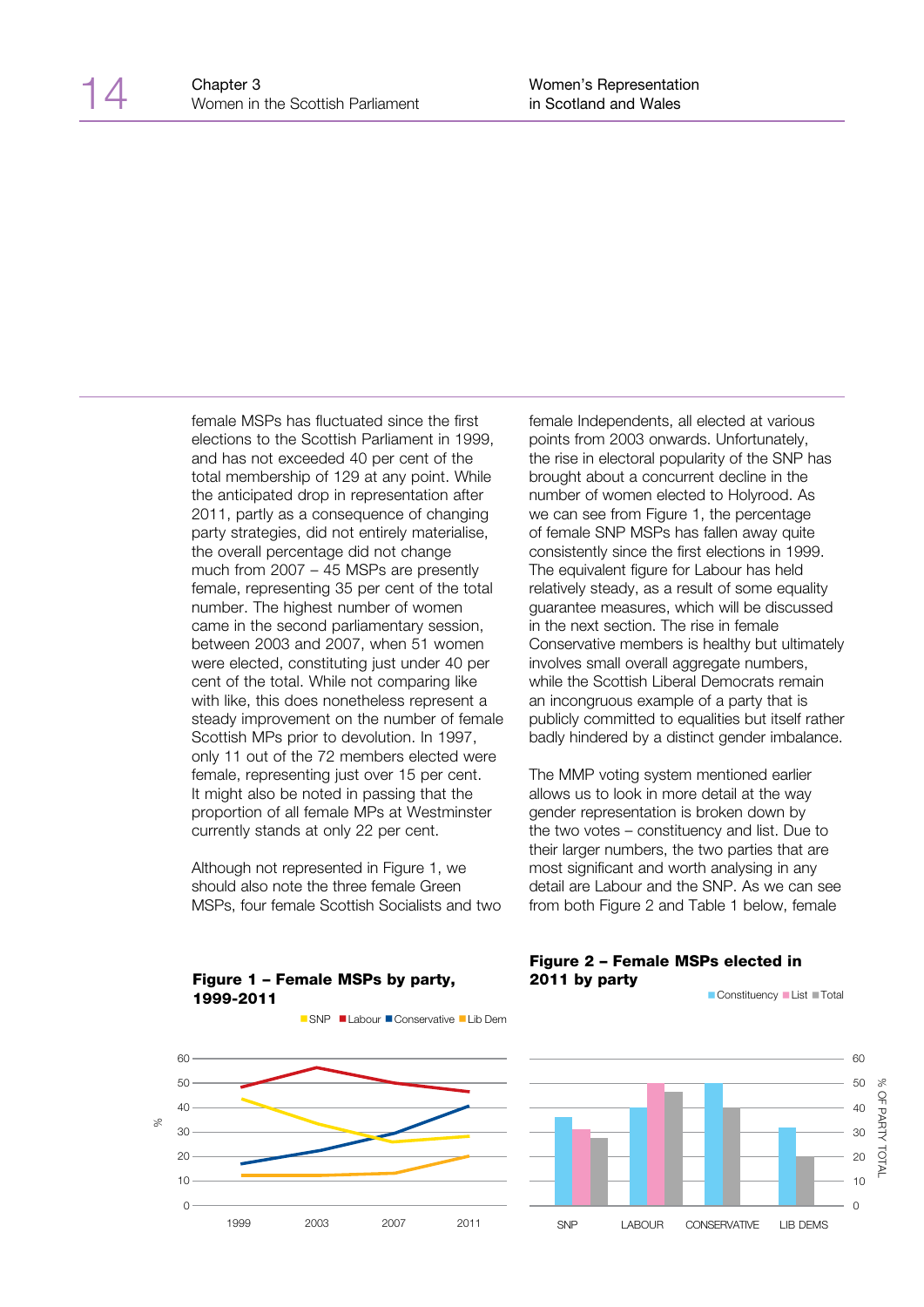female MSPs has fluctuated since the first elections to the Scottish Parliament in 1999, and has not exceeded 40 per cent of the total membership of 129 at any point. While the anticipated drop in representation after 2011, partly as a consequence of changing party strategies, did not entirely materialise, the overall percentage did not change much from 2007 – 45 MSPs are presently female, representing 35 per cent of the total number. The highest number of women came in the second parliamentary session, between 2003 and 2007, when 51 women were elected, constituting just under 40 per cent of the total. While not comparing like with like, this does nonetheless represent a steady improvement on the number of female Scottish MPs prior to devolution. In 1997, only 11 out of the 72 members elected were female, representing just over 15 per cent. It might also be noted in passing that the proportion of all female MPs at Westminster currently stands at only 22 per cent.

Although not represented in Figure 1, we should also note the three female Green MSPs, four female Scottish Socialists and two female Independents, all elected at various points from 2003 onwards. Unfortunately, the rise in electoral popularity of the SNP has brought about a concurrent decline in the number of women elected to Holyrood. As we can see from Figure 1, the percentage of female SNP MSPs has fallen away quite consistently since the first elections in 1999. The equivalent figure for Labour has held relatively steady, as a result of some equality guarantee measures, which will be discussed in the next section. The rise in female Conservative members is healthy but ultimately involves small overall aggregate numbers, while the Scottish Liberal Democrats remain an incongruous example of a party that is publicly committed to equalities but itself rather badly hindered by a distinct gender imbalance.

The MMP voting system mentioned earlier allows us to look in more detail at the way gender representation is broken down by the two votes – constituency and list. Due to their larger numbers, the two parties that are most significant and worth analysing in any detail are Labour and the SNP. As we can see from both Figure 2 and Table 1 below, female

Figure 2 – Female MSPs elected in



Figure 1 – Female MSPs by party,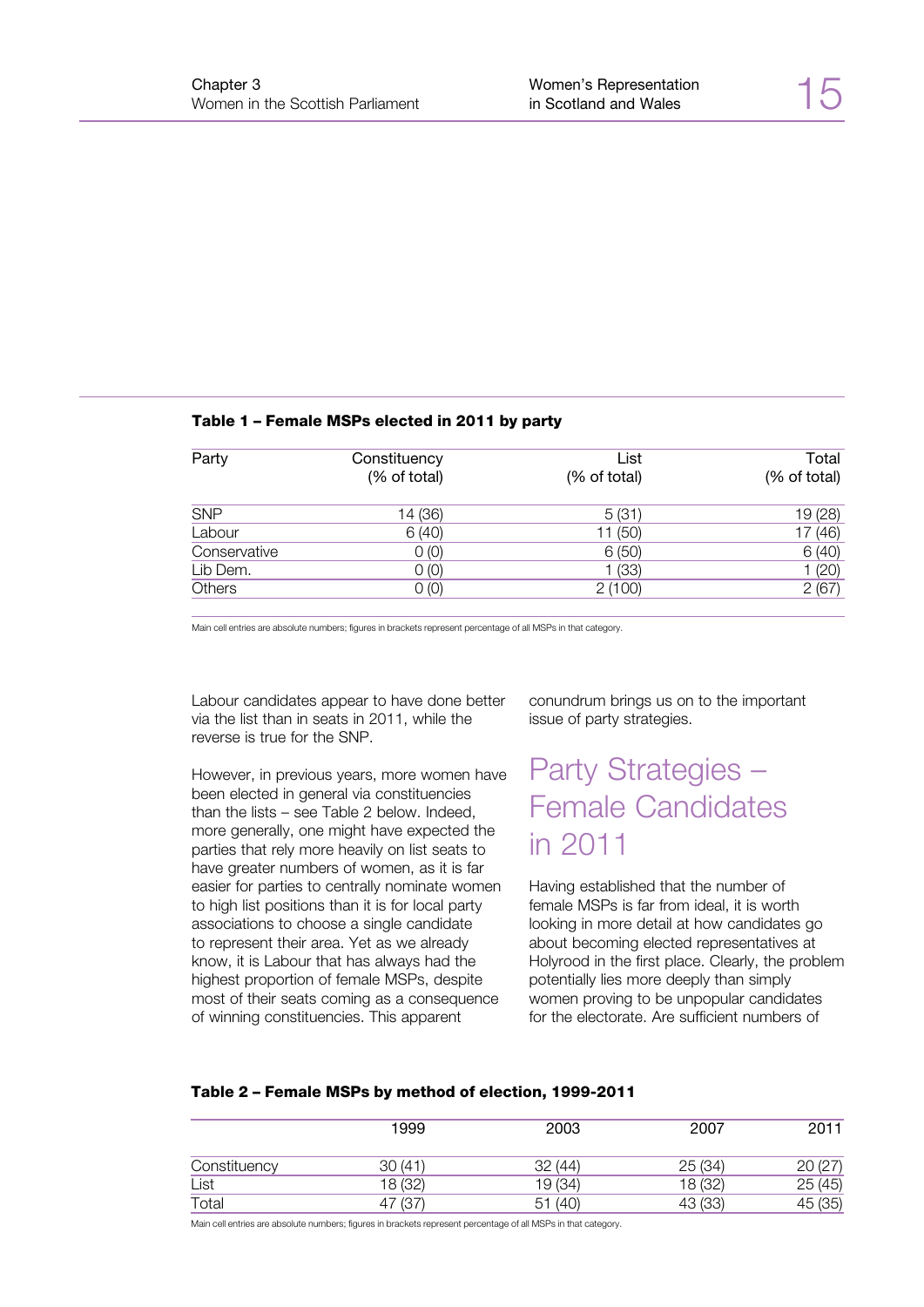#### Table 1 – Female MSPs elected in 2011 by party

| Party        | Constituency<br>(% of total) | List<br>(% of total) | Total<br>(% of total) |
|--------------|------------------------------|----------------------|-----------------------|
| <b>SNP</b>   | 14 (36)                      | 5(31)                | 19 (28)               |
| Labour       | 6(40)                        | 11 (50)              | 17(46)                |
| Conservative | 0(0)                         | 6(50)                | 6(40)                 |
| Lib Dem.     | 0(0)                         | 1(33)                | 1(20)                 |
| Others       | 0(0)                         | 2(100)               | 2(67)                 |

Main cell entries are absolute numbers; figures in brackets represent percentage of all MSPs in that category.

Labour candidates appear to have done better via the list than in seats in 2011, while the reverse is true for the SNP.

However, in previous years, more women have been elected in general via constituencies than the lists – see Table 2 below. Indeed, more generally, one might have expected the parties that rely more heavily on list seats to have greater numbers of women, as it is far easier for parties to centrally nominate women to high list positions than it is for local party associations to choose a single candidate to represent their area. Yet as we already know, it is Labour that has always had the highest proportion of female MSPs, despite most of their seats coming as a consequence of winning constituencies. This apparent

conundrum brings us on to the important issue of party strategies.

### Party Strategies – Female Candidates in 2011

Having established that the number of female MSPs is far from ideal, it is worth looking in more detail at how candidates go about becoming elected representatives at Holyrood in the first place. Clearly, the problem potentially lies more deeply than simply women proving to be unpopular candidates for the electorate. Are sufficient numbers of

#### Table 2 – Female MSPs by method of election, 1999-2011

|              | 1999      | 2003       | 2007       | 2011       |
|--------------|-----------|------------|------------|------------|
| Constituency | 30 (41)   | 32 (44)    | 25(34)     |            |
| List         | 18 (32)   | 19 (34)    | 18 (32)    | 25 (45)    |
| Total        | (37<br>47 | (40)<br>51 | (33)<br>43 | (35)<br>45 |

Main cell entries are absolute numbers; figures in brackets represent percentage of all MSPs in that category.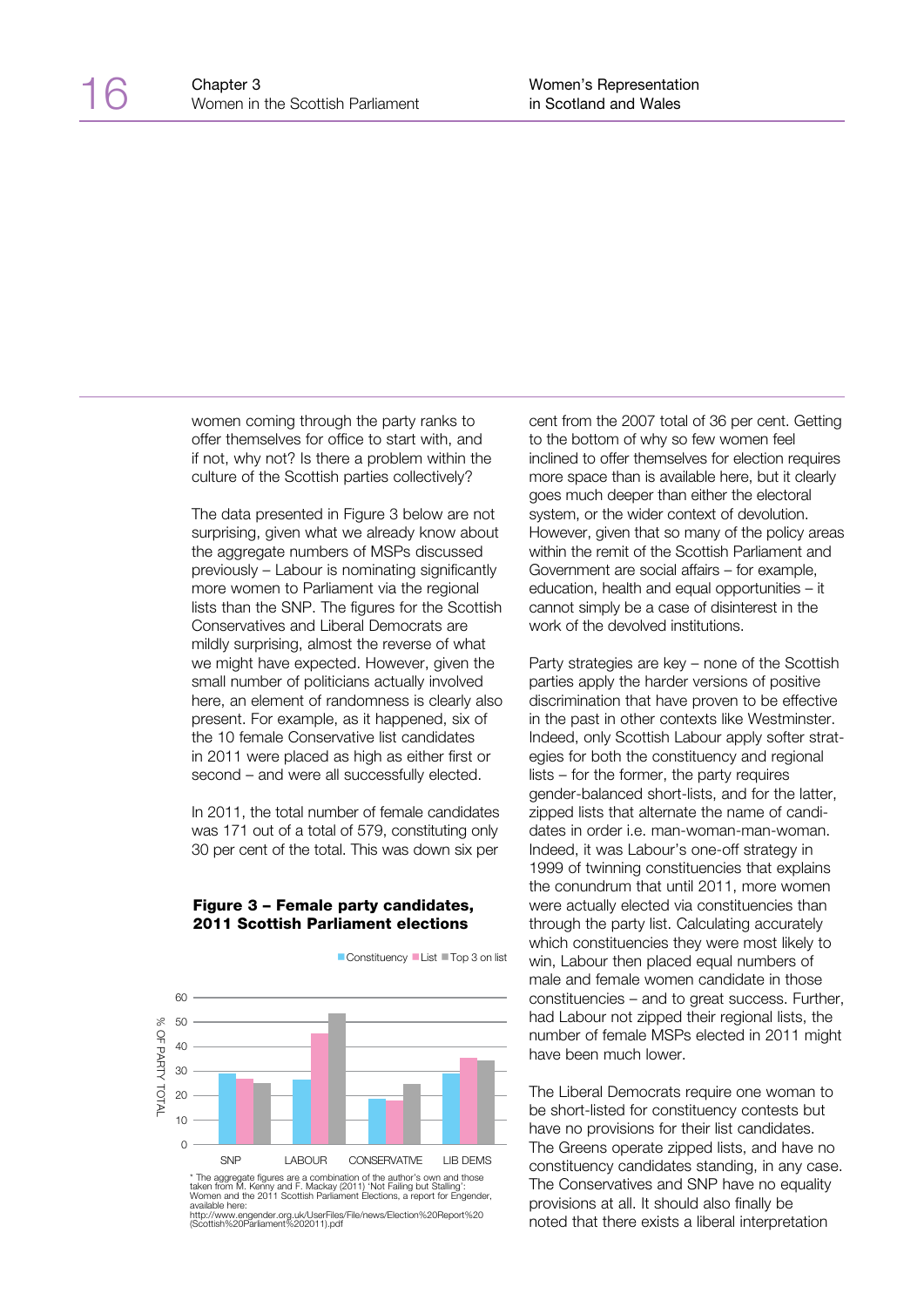women coming through the party ranks to offer themselves for office to start with, and if not, why not? Is there a problem within the culture of the Scottish parties collectively?

The data presented in Figure 3 below are not surprising, given what we already know about the aggregate numbers of MSPs discussed previously – Labour is nominating significantly more women to Parliament via the regional lists than the SNP. The figures for the Scottish Conservatives and Liberal Democrats are mildly surprising, almost the reverse of what we might have expected. However, given the small number of politicians actually involved here, an element of randomness is clearly also present. For example, as it happened, six of the 10 female Conservative list candidates in 2011 were placed as high as either first or second – and were all successfully elected.

In 2011, the total number of female candidates was 171 out of a total of 579, constituting only 30 per cent of the total. This was down six per

#### Figure 3 – Female party candidates, 2011 Scottish Parliament elections

■ Constituency ■ List ■ Top 3 on list



http://www.engender.org.uk/UserFiles/File/news/Election%20Report%20 (Scottish%20Parliament%202011).pdf

cent from the 2007 total of 36 per cent. Getting to the bottom of why so few women feel inclined to offer themselves for election requires more space than is available here, but it clearly goes much deeper than either the electoral system, or the wider context of devolution. However, given that so many of the policy areas within the remit of the Scottish Parliament and Government are social affairs – for example, education, health and equal opportunities – it cannot simply be a case of disinterest in the work of the devolved institutions.

Party strategies are key – none of the Scottish parties apply the harder versions of positive discrimination that have proven to be effective in the past in other contexts like Westminster. Indeed, only Scottish Labour apply softer strategies for both the constituency and regional lists – for the former, the party requires gender-balanced short-lists, and for the latter, zipped lists that alternate the name of candidates in order i.e. man-woman-man-woman. Indeed, it was Labour's one-off strategy in 1999 of twinning constituencies that explains the conundrum that until 2011, more women were actually elected via constituencies than through the party list. Calculating accurately which constituencies they were most likely to win, Labour then placed equal numbers of male and female women candidate in those constituencies – and to great success. Further, had Labour not zipped their regional lists, the number of female MSPs elected in 2011 might have been much lower.

The Liberal Democrats require one woman to be short-listed for constituency contests but have no provisions for their list candidates. The Greens operate zipped lists, and have no constituency candidates standing, in any case. The Conservatives and SNP have no equality provisions at all. It should also finally be noted that there exists a liberal interpretation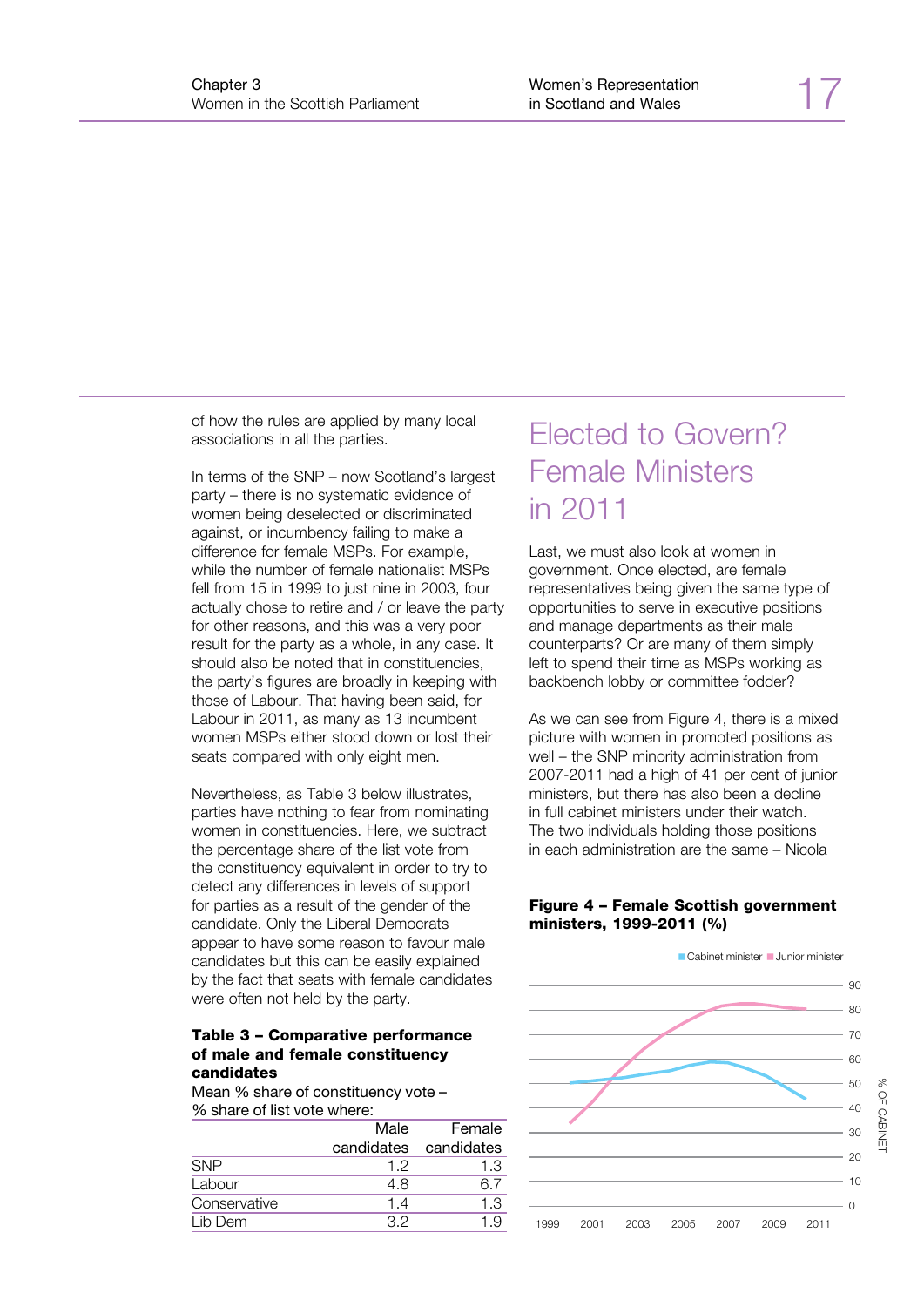of how the rules are applied by many local associations in all the parties.

In terms of the SNP – now Scotland's largest party – there is no systematic evidence of women being deselected or discriminated against, or incumbency failing to make a difference for female MSPs. For example, while the number of female nationalist MSPs fell from 15 in 1999 to just nine in 2003, four actually chose to retire and / or leave the party for other reasons, and this was a very poor result for the party as a whole, in any case. It should also be noted that in constituencies, the party's figures are broadly in keeping with those of Labour. That having been said, for Labour in 2011, as many as 13 incumbent women MSPs either stood down or lost their seats compared with only eight men.

Nevertheless, as Table 3 below illustrates, parties have nothing to fear from nominating women in constituencies. Here, we subtract the percentage share of the list vote from the constituency equivalent in order to try to detect any differences in levels of support for parties as a result of the gender of the candidate. Only the Liberal Democrats appear to have some reason to favour male candidates but this can be easily explained by the fact that seats with female candidates were often not held by the party.

#### Table 3 – Comparative performance of male and female constituency candidates

Mean % share of constituency vote – % share of list vote where:

| Male | Female                |
|------|-----------------------|
|      | candidates candidates |
| 12   | 1.3                   |
| 4.8  | 67                    |
| 1.4  | 1.3                   |
| 32   | 19                    |
|      |                       |

## Elected to Govern? Female Ministers in 2011

Last, we must also look at women in government. Once elected, are female representatives being given the same type of opportunities to serve in executive positions and manage departments as their male counterparts? Or are many of them simply left to spend their time as MSPs working as backbench lobby or committee fodder?

As we can see from Figure 4, there is a mixed picture with women in promoted positions as well – the SNP minority administration from 2007-2011 had a high of 41 per cent of junior ministers, but there has also been a decline in full cabinet ministers under their watch. The two individuals holding those positions in each administration are the same – Nicola

#### Figure 4 – Female Scottish government ministers, 1999-2011 (%)

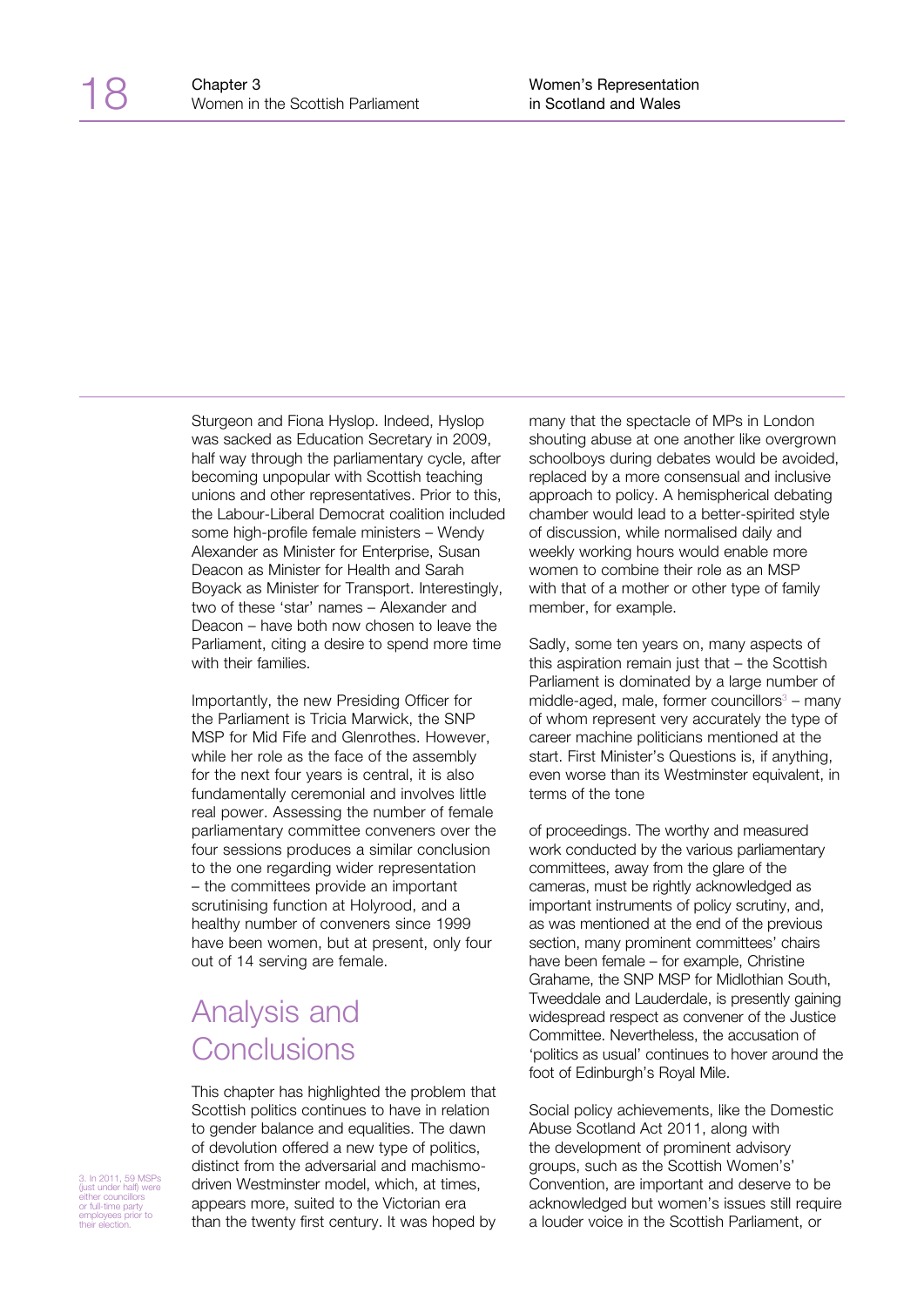Sturgeon and Fiona Hyslop. Indeed, Hyslop was sacked as Education Secretary in 2009, half way through the parliamentary cycle, after becoming unpopular with Scottish teaching unions and other representatives. Prior to this, the Labour-Liberal Democrat coalition included some high-profile female ministers – Wendy Alexander as Minister for Enterprise, Susan Deacon as Minister for Health and Sarah Boyack as Minister for Transport. Interestingly, two of these 'star' names – Alexander and Deacon – have both now chosen to leave the Parliament, citing a desire to spend more time with their families.

Importantly, the new Presiding Officer for the Parliament is Tricia Marwick, the SNP MSP for Mid Fife and Glenrothes. However, while her role as the face of the assembly for the next four years is central, it is also fundamentally ceremonial and involves little real power. Assessing the number of female parliamentary committee conveners over the four sessions produces a similar conclusion to the one regarding wider representation – the committees provide an important scrutinising function at Holyrood, and a healthy number of conveners since 1999 have been women, but at present, only four out of 14 serving are female.

## Analysis and Conclusions

This chapter has highlighted the problem that Scottish politics continues to have in relation to gender balance and equalities. The dawn of devolution offered a new type of politics, distinct from the adversarial and machismodriven Westminster model, which, at times, appears more, suited to the Victorian era than the twenty first century. It was hoped by many that the spectacle of MPs in London shouting abuse at one another like overgrown schoolboys during debates would be avoided, replaced by a more consensual and inclusive approach to policy. A hemispherical debating chamber would lead to a better-spirited style of discussion, while normalised daily and weekly working hours would enable more women to combine their role as an MSP with that of a mother or other type of family member, for example.

Sadly, some ten years on, many aspects of this aspiration remain just that – the Scottish Parliament is dominated by a large number of  $mid$ de-aged, male, former councillors $3 -$  many of whom represent very accurately the type of career machine politicians mentioned at the start. First Minister's Questions is, if anything, even worse than its Westminster equivalent, in terms of the tone

of proceedings. The worthy and measured work conducted by the various parliamentary committees, away from the glare of the cameras, must be rightly acknowledged as important instruments of policy scrutiny, and, as was mentioned at the end of the previous section, many prominent committees' chairs have been female – for example, Christine Grahame, the SNP MSP for Midlothian South, Tweeddale and Lauderdale, is presently gaining widespread respect as convener of the Justice Committee. Nevertheless, the accusation of 'politics as usual' continues to hover around the foot of Edinburgh's Royal Mile.

Social policy achievements, like the Domestic Abuse Scotland Act 2011, along with the development of prominent advisory groups, such as the Scottish Women's' Convention, are important and deserve to be acknowledged but women's issues still require a louder voice in the Scottish Parliament, or

3. In 2011, 59 MSPs (just under half) were either councillors or full-time party employees prior to their election.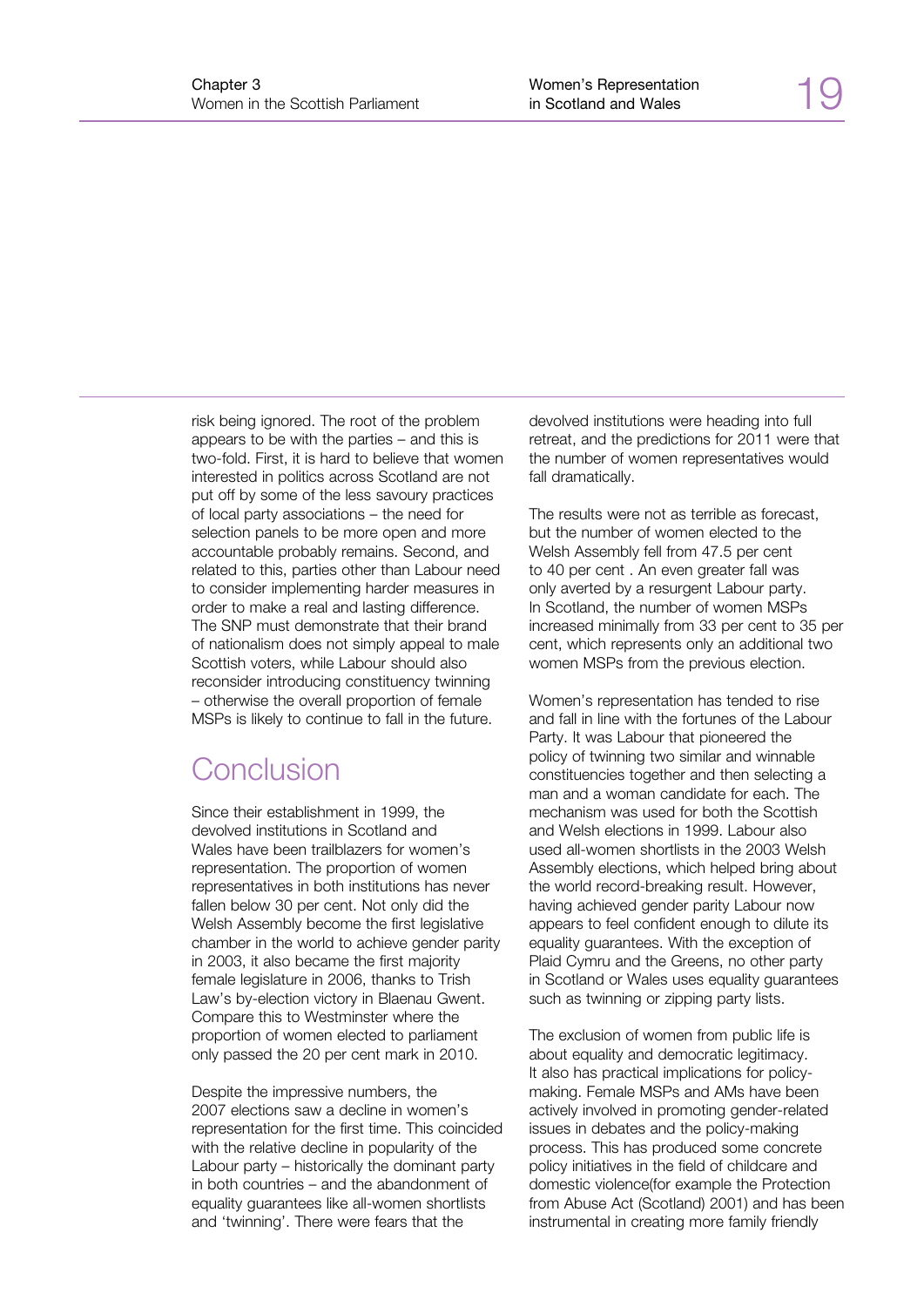risk being ignored. The root of the problem appears to be with the parties – and this is two-fold. First, it is hard to believe that women interested in politics across Scotland are not put off by some of the less savoury practices of local party associations – the need for selection panels to be more open and more accountable probably remains. Second, and related to this, parties other than Labour need to consider implementing harder measures in order to make a real and lasting difference. The SNP must demonstrate that their brand of nationalism does not simply appeal to male Scottish voters, while Labour should also reconsider introducing constituency twinning – otherwise the overall proportion of female MSPs is likely to continue to fall in the future.

## Conclusion

Since their establishment in 1999, the devolved institutions in Scotland and Wales have been trailblazers for women's representation. The proportion of women representatives in both institutions has never fallen below 30 per cent. Not only did the Welsh Assembly become the first legislative chamber in the world to achieve gender parity in 2003, it also became the first majority female legislature in 2006, thanks to Trish Law's by-election victory in Blaenau Gwent. Compare this to Westminster where the proportion of women elected to parliament only passed the 20 per cent mark in 2010.

Despite the impressive numbers, the 2007 elections saw a decline in women's representation for the first time. This coincided with the relative decline in popularity of the Labour party – historically the dominant party in both countries – and the abandonment of equality guarantees like all-women shortlists and 'twinning'. There were fears that the

devolved institutions were heading into full retreat, and the predictions for 2011 were that the number of women representatives would fall dramatically.

The results were not as terrible as forecast, but the number of women elected to the Welsh Assembly fell from 47.5 per cent to 40 per cent . An even greater fall was only averted by a resurgent Labour party. In Scotland, the number of women MSPs increased minimally from 33 per cent to 35 per cent, which represents only an additional two women MSPs from the previous election.

Women's representation has tended to rise and fall in line with the fortunes of the Labour Party. It was Labour that pioneered the policy of twinning two similar and winnable constituencies together and then selecting a man and a woman candidate for each. The mechanism was used for both the Scottish and Welsh elections in 1999. Labour also used all-women shortlists in the 2003 Welsh Assembly elections, which helped bring about the world record-breaking result. However, having achieved gender parity Labour now appears to feel confident enough to dilute its equality guarantees. With the exception of Plaid Cymru and the Greens, no other party in Scotland or Wales uses equality guarantees such as twinning or zipping party lists.

The exclusion of women from public life is about equality and democratic legitimacy. It also has practical implications for policymaking. Female MSPs and AMs have been actively involved in promoting gender-related issues in debates and the policy-making process. This has produced some concrete policy initiatives in the field of childcare and domestic violence(for example the Protection from Abuse Act (Scotland) 2001) and has been instrumental in creating more family friendly